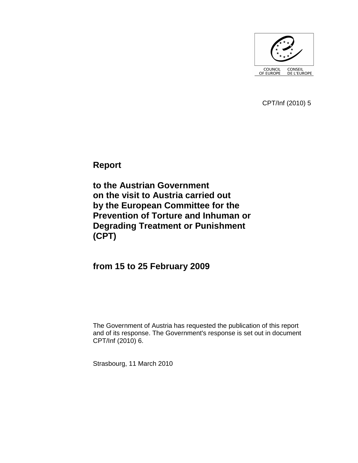

CPT/Inf (2010) 5

**Report** 

**to the Austrian Government on the visit to Austria carried out by the European Committee for the Prevention of Torture and Inhuman or Degrading Treatment or Punishment (CPT)** 

**from 15 to 25 February 2009** 

The Government of Austria has requested the publication of this report and of its response. The Government's response is set out in document CPT/Inf (2010) 6.

Strasbourg, 11 March 2010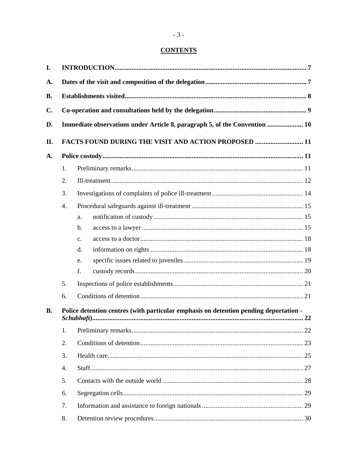# **CONTENTS**

| I.            |    |                                                                                       |  |
|---------------|----|---------------------------------------------------------------------------------------|--|
| A.            |    |                                                                                       |  |
| <b>B.</b>     |    |                                                                                       |  |
| $C_{\bullet}$ |    |                                                                                       |  |
| D.            |    | Immediate observations under Article 8, paragraph 5, of the Convention  10            |  |
|               |    |                                                                                       |  |
| II.           |    | FACTS FOUND DURING THE VISIT AND ACTION PROPOSED  11                                  |  |
| A.            |    |                                                                                       |  |
|               | 1. |                                                                                       |  |
|               | 2. |                                                                                       |  |
|               | 3. |                                                                                       |  |
|               | 4. |                                                                                       |  |
|               |    | a.                                                                                    |  |
|               |    | b.                                                                                    |  |
|               |    | c.                                                                                    |  |
|               |    | d.                                                                                    |  |
|               |    | e.                                                                                    |  |
|               |    | f.                                                                                    |  |
|               | 5. |                                                                                       |  |
|               | 6. |                                                                                       |  |
| <b>B.</b>     |    | Police detention centres (with particular emphasis on detention pending deportation - |  |
|               | 1. |                                                                                       |  |
|               | 2. |                                                                                       |  |
|               | 3. |                                                                                       |  |
|               | 4. |                                                                                       |  |
|               | 5. |                                                                                       |  |
|               | 6. |                                                                                       |  |
|               | 7. |                                                                                       |  |
|               | 8. |                                                                                       |  |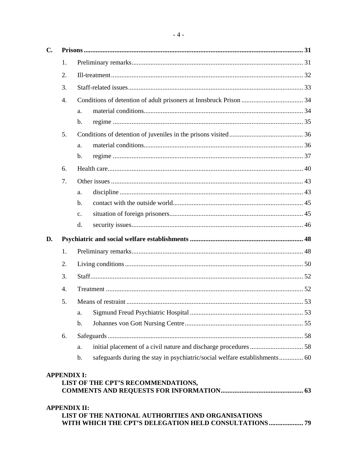| C. |    |                                                                                  |  |
|----|----|----------------------------------------------------------------------------------|--|
|    | 1. |                                                                                  |  |
|    | 2. |                                                                                  |  |
|    | 3. |                                                                                  |  |
|    | 4. |                                                                                  |  |
|    |    | a.                                                                               |  |
|    |    | b.                                                                               |  |
|    | 5. |                                                                                  |  |
|    |    | a.                                                                               |  |
|    |    | b.                                                                               |  |
|    | 6. |                                                                                  |  |
|    | 7. |                                                                                  |  |
|    |    | a.                                                                               |  |
|    |    | $\mathbf b$ .                                                                    |  |
|    |    | $\mathbf{c}$ .                                                                   |  |
|    |    | d.                                                                               |  |
| D. |    |                                                                                  |  |
|    | 1. |                                                                                  |  |
|    | 2. |                                                                                  |  |
|    | 3. |                                                                                  |  |
|    | 4. |                                                                                  |  |
|    | 5. |                                                                                  |  |
|    |    | a.                                                                               |  |
|    |    | b.                                                                               |  |
|    | 6. |                                                                                  |  |
|    |    | a.                                                                               |  |
|    |    | safeguards during the stay in psychiatric/social welfare establishments 60<br>b. |  |
|    |    | <b>APPENDIX I:</b>                                                               |  |
|    |    | LIST OF THE CPT'S RECOMMENDATIONS,                                               |  |
|    |    |                                                                                  |  |
|    |    | <b>APPENDIX II:</b>                                                              |  |
|    |    | LIST OF THE NATIONAL AUTHORITIES AND ORGANISATIONS                               |  |
|    |    | WITH WHICH THE CPT'S DELEGATION HELD CONSULTATIONS 79                            |  |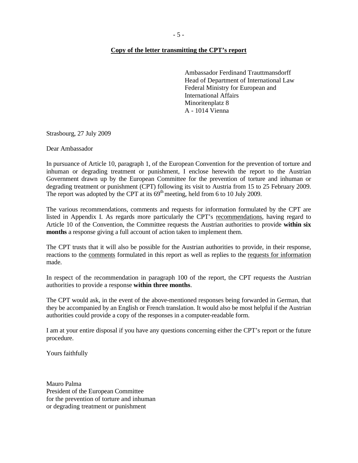#### **Copy of the letter transmitting the CPT's report**

Ambassador Ferdinand Trauttmansdorff Head of Department of International Law Federal Ministry for European and International Affairs Minoritenplatz 8 A - 1014 Vienna

Strasbourg, 27 July 2009

Dear Ambassador

In pursuance of Article 10, paragraph 1, of the European Convention for the prevention of torture and inhuman or degrading treatment or punishment, I enclose herewith the report to the Austrian Government drawn up by the European Committee for the prevention of torture and inhuman or degrading treatment or punishment (CPT) following its visit to Austria from 15 to 25 February 2009. The report was adopted by the CPT at its  $69<sup>th</sup>$  meeting, held from 6 to 10 July 2009.

The various recommendations, comments and requests for information formulated by the CPT are listed in Appendix I. As regards more particularly the CPT's recommendations, having regard to Article 10 of the Convention, the Committee requests the Austrian authorities to provide **within six months** a response giving a full account of action taken to implement them.

The CPT trusts that it will also be possible for the Austrian authorities to provide, in their response, reactions to the comments formulated in this report as well as replies to the requests for information made.

In respect of the recommendation in paragraph 100 of the report, the CPT requests the Austrian authorities to provide a response **within three months**.

The CPT would ask, in the event of the above-mentioned responses being forwarded in German, that they be accompanied by an English or French translation. It would also be most helpful if the Austrian authorities could provide a copy of the responses in a computer-readable form.

I am at your entire disposal if you have any questions concerning either the CPT's report or the future procedure.

Yours faithfully

Mauro Palma President of the European Committee for the prevention of torture and inhuman or degrading treatment or punishment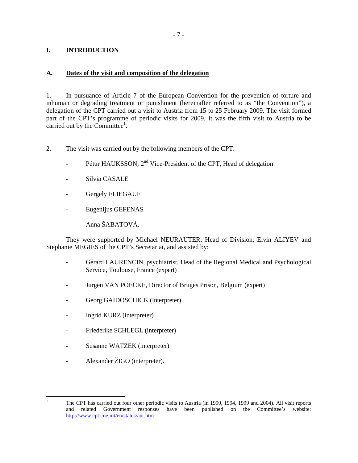### **I. INTRODUCTION**

### **A. Dates of the visit and composition of the delegation**

1. In pursuance of Article 7 of the European Convention for the prevention of torture and inhuman or degrading treatment or punishment (hereinafter referred to as "the Convention"), a delegation of the CPT carried out a visit to Austria from 15 to 25 February 2009. The visit formed part of the CPT's programme of periodic visits for 2009. It was the fifth visit to Austria to be carried out by the Committee $<sup>1</sup>$ .</sup>

- 2. The visit was carried out by the following members of the CPT:
	- Pétur HAUKSSON, 2<sup>nd</sup> Vice-President of the CPT, Head of delegation
	- Silvia CASALE
	- Gergely FLIEGAUF
	- Eugenijus GEFENAS
	- Anna ŠABATOVÁ.

They were supported by Michael NEURAUTER, Head of Division, Elvin ALIYEV and Stephanie MEGIES of the CPT's Secretariat, and assisted by:

- Gérard LAURENCIN, psychiatrist, Head of the Regional Medical and Psychological Service, Toulouse, France (expert)
- Jurgen VAN POECKE, Director of Bruges Prison, Belgium (expert)
- Georg GAIDOSCHICK (interpreter)
- Ingrid KURZ (interpreter)
- Friederike SCHLEGL (interpreter)
- Susanne WATZEK (interpreter)
- Alexander ŽIGO (interpreter).

 $\frac{1}{1}$  The CPT has carried out four other periodic visits to Austria (in 1990, 1994, 1999 and 2004). All visit reports and related Government responses have been published on the Committee's website: http://www.cpt.coe.int/en/states/aut.htm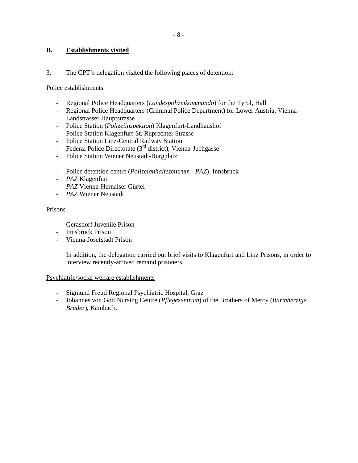## **B. Establishments visited**

### 3. The CPT's delegation visited the following places of detention:

### Police establishments

- Regional Police Headquarters (*Landespolizeikommando*) for the Tyrol, Hall
- Regional Police Headquarters (Criminal Police Department) for Lower Austria, Vienna-Landstrasser Hauptstrasse
- Police Station (*Polizeiinspektion*) Klagenfurt-Landhaushof
- Police Station Klagenfurt-St. Ruprechter Strasse
- Police Station Linz-Central Railway Station
- Federal Police Directorate  $(3<sup>rd</sup>$  district), Vienna-Juchgasse
- Police Station Wiener Neustadt-Burgplatz
- Police detention centre (*Polizeianhaltezentrum PAZ*), Innsbruck
- *PAZ* Klagenfurt
- *PAZ* Vienna-Hernalser Gürtel
- *PAZ* Wiener Neustadt

#### **Prisons**

- Gerasdorf Juvenile Prison
- Innsbruck Prison
- Vienna-Josefstadt Prison

In addition, the delegation carried out brief visits to Klagenfurt and Linz Prisons, in order to interview recently-arrived remand prisoners.

#### Psychiatric/social welfare establishments

- Sigmund Freud Regional Psychiatric Hospital, Graz
- Johannes von Gott Nursing Centre (*Pflegezentrum*) of the Brothers of Mercy (*Barmherzige Brüder*), Kainbach.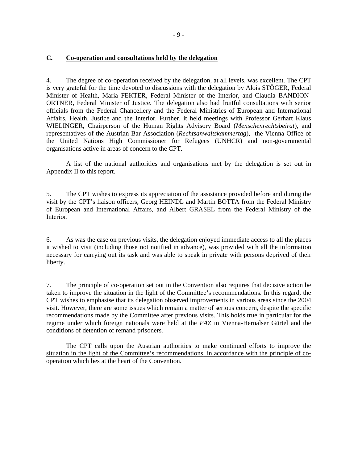### **C. Co-operation and consultations held by the delegation**

4. The degree of co-operation received by the delegation, at all levels, was excellent. The CPT is very grateful for the time devoted to discussions with the delegation by Alois STÖGER, Federal Minister of Health, Maria FEKTER, Federal Minister of the Interior, and Claudia BANDION-ORTNER, Federal Minister of Justice. The delegation also had fruitful consultations with senior officials from the Federal Chancellery and the Federal Ministries of European and International Affairs, Health, Justice and the Interior. Further, it held meetings with Professor Gerhart Klaus WIELINGER, Chairperson of the Human Rights Advisory Board (*Menschenrechtsbeirat*), and representatives of the Austrian Bar Association (*Rechtsanwaltskammertag*), the Vienna Office of the United Nations High Commissioner for Refugees (UNHCR) and non-governmental organisations active in areas of concern to the CPT.

 A list of the national authorities and organisations met by the delegation is set out in Appendix II to this report.

5. The CPT wishes to express its appreciation of the assistance provided before and during the visit by the CPT's liaison officers, Georg HEINDL and Martin BOTTA from the Federal Ministry of European and International Affairs, and Albert GRASEL from the Federal Ministry of the Interior.

6. As was the case on previous visits, the delegation enjoyed immediate access to all the places it wished to visit (including those not notified in advance), was provided with all the information necessary for carrying out its task and was able to speak in private with persons deprived of their liberty.

7. The principle of co-operation set out in the Convention also requires that decisive action be taken to improve the situation in the light of the Committee's recommendations. In this regard, the CPT wishes to emphasise that its delegation observed improvements in various areas since the 2004 visit. However, there are some issues which remain a matter of serious concern, despite the specific recommendations made by the Committee after previous visits. This holds true in particular for the regime under which foreign nationals were held at the *PAZ* in Vienna-Hernalser Gürtel and the conditions of detention of remand prisoners.

 The CPT calls upon the Austrian authorities to make continued efforts to improve the situation in the light of the Committee's recommendations, in accordance with the principle of cooperation which lies at the heart of the Convention.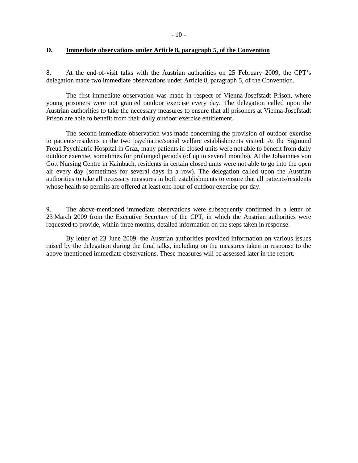#### **D. Immediate observations under Article 8, paragraph 5, of the Convention**

8. At the end-of-visit talks with the Austrian authorities on 25 February 2009, the CPT's delegation made two immediate observations under Article 8, paragraph 5, of the Convention.

 The first immediate observation was made in respect of Vienna-Josefstadt Prison, where young prisoners were not granted outdoor exercise every day. The delegation called upon the Austrian authorities to take the necessary measures to ensure that all prisoners at Vienna-Josefstadt Prison are able to benefit from their daily outdoor exercise entitlement.

 The second immediate observation was made concerning the provision of outdoor exercise to patients/residents in the two psychiatric/social welfare establishments visited. At the Sigmund Freud Psychiatric Hospital in Graz, many patients in closed units were not able to benefit from daily outdoor exercise, sometimes for prolonged periods (of up to several months). At the Johannnes von Gott Nursing Centre in Kainbach, residents in certain closed units were not able to go into the open air every day (sometimes for several days in a row). The delegation called upon the Austrian authorities to take all necessary measures in both establishments to ensure that all patients/residents whose health so permits are offered at least one hour of outdoor exercise per day.

9. The above-mentioned immediate observations were subsequently confirmed in a letter of 23 March 2009 from the Executive Secretary of the CPT, in which the Austrian authorities were requested to provide, within three months, detailed information on the steps taken in response.

 By letter of 23 June 2009, the Austrian authorities provided information on various issues raised by the delegation during the final talks, including on the measures taken in response to the above-mentioned immediate observations. These measures will be assessed later in the report.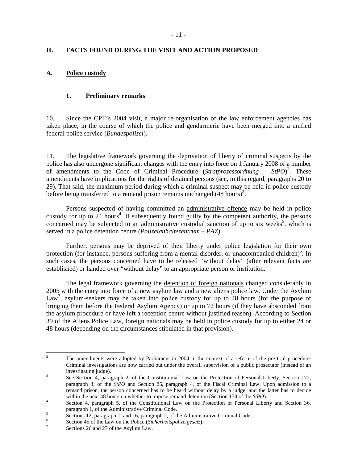## **II. FACTS FOUND DURING THE VISIT AND ACTION PROPOSED**

## **A. Police custody**

## **1. Preliminary remarks**

10. Since the CPT's 2004 visit, a major re-organisation of the law enforcement agencies has taken place, in the course of which the police and gendarmerie have been merged into a unified federal police service (*Bundespolizei*).

11. The legislative framework governing the deprivation of liberty of criminal suspects by the police has also undergone significant changes with the entry into force on 1 January 2008 of a number of amendments to the Code of Criminal Procedure (*Strafprozessordnung* – *StPO*) 2 . These amendments have implications for the rights of detained persons (see, in this regard, paragraphs 20 to 29). That said, the maximum period during which a criminal suspect may be held in police custody before being transferred to a remand prison remains unchanged  $(48 \text{ hours})^3$ .

 Persons suspected of having committed an administrative offence may be held in police custody for up to  $24$  hours<sup>4</sup>. If subsequently found guilty by the competent authority, the persons concerned may be subjected to an administrative custodial sanction of up to six weeks<sup>5</sup>, which is served in a police detention centre (*Polizeianhaltezentrum* – *PAZ*).

 Further, persons may be deprived of their liberty under police legislation for their own protection (for instance, persons suffering from a mental disorder, or unaccompanied children)<sup>6</sup>. In such cases, the persons concerned have to be released "without delay" (after relevant facts are established) or handed over "without delay" to an appropriate person or institution.

 The legal framework governing the detention of foreign nationals changed considerably in 2005 with the entry into force of a new asylum law and a new aliens police law. Under the Asylum Law<sup>7</sup>, asylum-seekers may be taken into police custody for up to 48 hours (for the purpose of bringing them before the Federal Asylum Agency) or up to 72 hours (if they have absconded from the asylum procedure or have left a reception centre without justified reason). According to Section 39 of the Aliens Police Law, foreign nationals may be held in police custody for up to either 24 or 48 hours (depending on the circumstances stipulated in that provision).

 $\frac{1}{2}$  The amendments were adopted by Parliament in 2004 in the context of a reform of the pre-trial procedure. Criminal investigations are now carried out under the overall supervision of a public prosecutor (instead of an investigating judge). 3

See Section 4, paragraph 2, of the Constitutional Law on the Protection of Personal Liberty, Section 172, paragraph 3, of the *StPO* and Section 85, paragraph 4, of the Fiscal Criminal Law. Upon admission to a remand prison, the person concerned has to be heard without delay by a judge, and the latter has to decide within the next 48 hours on whether to impose remand detention (Section 174 of the *StPO*).

<sup>4</sup> Section 4, paragraph 5, of the Constitutional Law on the Protection of Personal Liberty and Section 36, paragraph 1, of the Administrative Criminal Code.

<sup>5</sup> Sections 12, paragraph 1, and 16, paragraph 2, of the Administrative Criminal Code.

<sup>6</sup> Section 45 of the Law on the Police (*Sicherheitspolizeigesetz*).

<sup>7</sup> Sections 26 and 27 of the Asylum Law.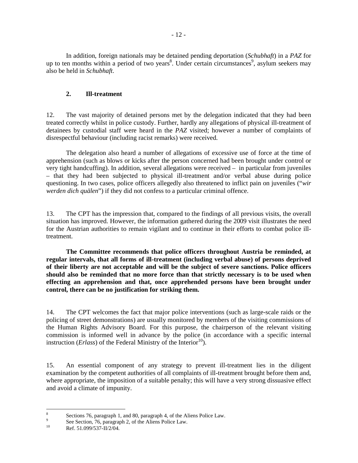In addition, foreign nationals may be detained pending deportation (*Schubhaft*) in a *PAZ* for up to ten months within a period of two years<sup>8</sup>. Under certain circumstances<sup>9</sup>, asylum seekers may also be held in *Schubhaft*.

### **2. Ill-treatment**

12. The vast majority of detained persons met by the delegation indicated that they had been treated correctly whilst in police custody. Further, hardly any allegations of physical ill-treatment of detainees by custodial staff were heard in the *PAZ* visited; however a number of complaints of disrespectful behaviour (including racist remarks) were received.

 The delegation also heard a number of allegations of excessive use of force at the time of apprehension (such as blows or kicks after the person concerned had been brought under control or very tight handcuffing). In addition, several allegations were received – in particular from juveniles – that they had been subjected to physical ill-treatment and/or verbal abuse during police questioning. In two cases, police officers allegedly also threatened to inflict pain on juveniles ("*wir werden dich quälen*") if they did not confess to a particular criminal offence.

13. The CPT has the impression that, compared to the findings of all previous visits, the overall situation has improved. However, the information gathered during the 2009 visit illustrates the need for the Austrian authorities to remain vigilant and to continue in their efforts to combat police illtreatment.

 **The Committee recommends that police officers throughout Austria be reminded, at regular intervals, that all forms of ill-treatment (including verbal abuse) of persons deprived of their liberty are not acceptable and will be the subject of severe sanctions. Police officers should also be reminded that no more force than that strictly necessary is to be used when effecting an apprehension and that, once apprehended persons have been brought under control, there can be no justification for striking them.** 

14. The CPT welcomes the fact that major police interventions (such as large-scale raids or the policing of street demonstrations) are usually monitored by members of the visiting commissions of the Human Rights Advisory Board. For this purpose, the chairperson of the relevant visiting commission is informed well in advance by the police (in accordance with a specific internal instruction (*Erlass*) of the Federal Ministry of the Interior<sup>10</sup>).

15. An essential component of any strategy to prevent ill-treatment lies in the diligent examination by the competent authorities of all complaints of ill-treatment brought before them and, where appropriate, the imposition of a suitable penalty; this will have a very strong dissuasive effect and avoid a climate of impunity.

 8 Sections 76, paragraph 1, and 80, paragraph 4, of the Aliens Police Law.

<sup>9</sup> See Section, 76, paragraph 2, of the Aliens Police Law.

Ref. 51.099/537-II/2/04.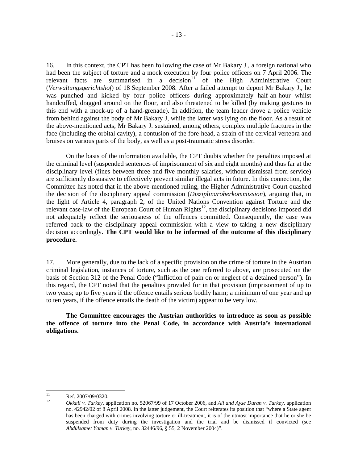16. In this context, the CPT has been following the case of Mr Bakary J., a foreign national who had been the subject of torture and a mock execution by four police officers on 7 April 2006. The relevant facts are summarised in a decision $11$  of the High Administrative Court (*Verwaltungsgerichtshof*) of 18 September 2008. After a failed attempt to deport Mr Bakary J., he was punched and kicked by four police officers during approximately half-an-hour whilst handcuffed, dragged around on the floor, and also threatened to be killed (by making gestures to this end with a mock-up of a hand-grenade). In addition, the team leader drove a police vehicle from behind against the body of Mr Bakary J, while the latter was lying on the floor. As a result of the above-mentioned acts, Mr Bakary J. sustained, among others, complex multiple fractures in the face (including the orbital cavity), a contusion of the fore-head, a strain of the cervical vertebra and bruises on various parts of the body, as well as a post-traumatic stress disorder.

 On the basis of the information available, the CPT doubts whether the penalties imposed at the criminal level (suspended sentences of imprisonment of six and eight months) and thus far at the disciplinary level (fines between three and five monthly salaries, without dismissal from service) are sufficiently dissuasive to effectively prevent similar illegal acts in future. In this connection, the Committee has noted that in the above-mentioned ruling, the Higher Administrative Court quashed the decision of the disciplinary appeal commission (*Disziplinaroberkommission*), arguing that, in the light of Article 4, paragraph 2, of the United Nations Convention against Torture and the relevant case-law of the European Court of Human Rights<sup>12</sup>, the disciplinary decisions imposed did not adequately reflect the seriousness of the offences committed. Consequently, the case was referred back to the disciplinary appeal commission with a view to taking a new disciplinary decision accordingly. **The CPT would like to be informed of the outcome of this disciplinary procedure.** 

17. More generally, due to the lack of a specific provision on the crime of torture in the Austrian criminal legislation, instances of torture, such as the one referred to above, are prosecuted on the basis of Section 312 of the Penal Code ("Infliction of pain on or neglect of a detained person"). In this regard, the CPT noted that the penalties provided for in that provision (imprisonment of up to two years; up to five years if the offence entails serious bodily harm; a minimum of one year and up to ten years, if the offence entails the death of the victim) appear to be very low.

 **The Committee encourages the Austrian authorities to introduce as soon as possible the offence of torture into the Penal Code, in accordance with Austria's international obligations.** 

 $11$ Ref. 2007/09/0320. 12

*Okkali v. Turkey*, application no. 52067/99 of 17 October 2006, and *Ali and Ayse Duran v. Turkey*, application no. 42942/02 of 8 April 2008. In the latter judgement, the Court reiterates its position that "where a State agent has been charged with crimes involving torture or ill-treatment, it is of the utmost importance that he or she be suspended from duty during the investigation and the trial and be dismissed if convicted (see  *Abdülsamet Yaman v. Turkey*, no. 32446/96, § 55, 2 November 2004)".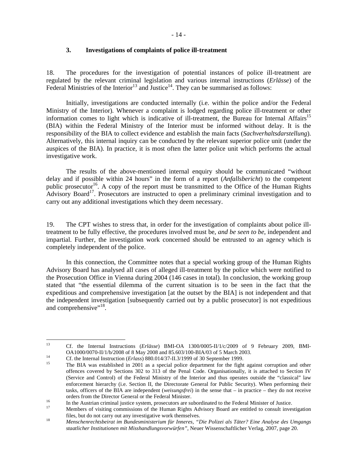#### **3. Investigations of complaints of police ill-treatment**

18. The procedures for the investigation of potential instances of police ill-treatment are regulated by the relevant criminal legislation and various internal instructions (*Erlässe*) of the Federal Ministries of the Interior<sup>13</sup> and Justice<sup>14</sup>. They can be summarised as follows:

 Initially, investigations are conducted internally (i.e. within the police and/or the Federal Ministry of the Interior). Whenever a complaint is lodged regarding police ill-treatment or other information comes to light which is indicative of ill-treatment, the Bureau for Internal Affairs<sup>15</sup> (BIA) within the Federal Ministry of the Interior must be informed without delay. It is the responsibility of the BIA to collect evidence and establish the main facts (*Sachverhaltsdarstellung*). Alternatively, this internal inquiry can be conducted by the relevant superior police unit (under the auspices of the BIA). In practice, it is most often the latter police unit which performs the actual investigative work.

 The results of the above-mentioned internal enquiry should be communicated "without delay and if possible within 24 hours" in the form of a report (*Anfallsbericht*) to the competent public prosecutor<sup>16</sup>. A copy of the report must be transmitted to the Office of the Human Rights Advisory Board<sup>17</sup>. Prosecutors are instructed to open a preliminary criminal investigation and to carry out any additional investigations which they deem necessary.

19. The CPT wishes to stress that, in order for the investigation of complaints about police illtreatment to be fully effective, the procedures involved must be, *and be seen to be*, independent and impartial. Further, the investigation work concerned should be entrusted to an agency which is completely independent of the police.

 In this connection, the Committee notes that a special working group of the Human Rights Advisory Board has analysed all cases of alleged ill-treatment by the police which were notified to the Prosecution Office in Vienna during 2004 (146 cases in total). In conclusion, the working group stated that "the essential dilemma of the current situation is to be seen in the fact that the expeditious and comprehensive investigation [at the outset by the BIA] is not independent and that the independent investigation [subsequently carried out by a public prosecutor] is not expeditious and comprehensive"<sup>18</sup>.

 $13$ <sup>13</sup> Cf. the Internal Instructions (*Erlässe*) BMI-OA 1300/0005-II/1/c/2009 of 9 February 2009, BMI-OA1000/0070-II/1/b/2008 of 8 May 2008 and 85.603/100-BIA/03 of 5 March 2003.

<sup>14</sup> Cf. the Internal Instruction (*Erlass*) 880.014/37-II.3/1999 of 30 September 1999.

<sup>15</sup> The BIA was established in 2001 as a special police department for the fight against corruption and other offences covered by Sections 302 to 313 of the Penal Code. Organisationally, it is attached to Section IV (Service and Control) of the Federal Ministry of the Interior and thus operates outside the "classical" law enforcement hierarchy (i.e. Section II, the Directorate General for Public Security). When performing their tasks, officers of the BIA are independent (*weisungsfrei*) in the sense that – in practice – they do not receive orders from the Director General or the Federal Minister.

<sup>16&</sup>lt;br>
In the Austrian criminal justice system, prosecutors are subordinated to the Federal Minister of Justice.<br>
Mambars of visiting commissions of the Ulman Bights, Advisory Board are articled to consult inves

<sup>17</sup> Members of visiting commissions of the Human Rights Advisory Board are entitled to consult investigation files, but do not carry out any investigative work themselves.

<sup>18</sup> *Menschenrechtsbeirat im Bundesministerium für Inneres, "Die Polizei als Täter? Eine Analyse des Umgangs staatlicher Institutionen mit Misshandlungsvorwürfen",* Neuer Wissenschaftlicher Verlag, 2007, page 20.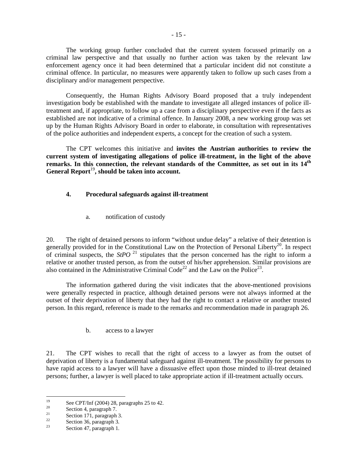The working group further concluded that the current system focussed primarily on a criminal law perspective and that usually no further action was taken by the relevant law enforcement agency once it had been determined that a particular incident did not constitute a criminal offence. In particular, no measures were apparently taken to follow up such cases from a disciplinary and/or management perspective.

 Consequently, the Human Rights Advisory Board proposed that a truly independent investigation body be established with the mandate to investigate all alleged instances of police illtreatment and, if appropriate, to follow up a case from a disciplinary perspective even if the facts as established are not indicative of a criminal offence. In January 2008, a new working group was set up by the Human Rights Advisory Board in order to elaborate, in consultation with representatives of the police authorities and independent experts, a concept for the creation of such a system.

 The CPT welcomes this initiative and **invites the Austrian authorities to review the current system of investigating allegations of police ill-treatment, in the light of the above remarks. In this connection, the relevant standards of the Committee, as set out in its 14th** General Report<sup>19</sup>, should be taken into account.

#### **4. Procedural safeguards against ill-treatment**

a. notification of custody

20. The right of detained persons to inform "without undue delay" a relative of their detention is generally provided for in the Constitutional Law on the Protection of Personal Liberty<sup>20</sup>. In respect of criminal suspects, the  $StPO<sup>21</sup>$  stipulates that the person concerned has the right to inform a relative or another trusted person, as from the outset of his/her apprehension. Similar provisions are also contained in the Administrative Criminal Code<sup>22</sup> and the Law on the Police<sup>23</sup>.

 The information gathered during the visit indicates that the above-mentioned provisions were generally respected in practice, although detained persons were not always informed at the outset of their deprivation of liberty that they had the right to contact a relative or another trusted person. In this regard, reference is made to the remarks and recommendation made in paragraph 26.

b. access to a lawyer

21. The CPT wishes to recall that the right of access to a lawyer as from the outset of deprivation of liberty is a fundamental safeguard against ill-treatment. The possibility for persons to have rapid access to a lawyer will have a dissuasive effect upon those minded to ill-treat detained persons; further, a lawyer is well placed to take appropriate action if ill-treatment actually occurs.

 $19$ <sup>19</sup> See CPT/Inf (2004) 28, paragraphs 25 to 42.

 $\frac{20}{21}$  Section 4, paragraph 7.

 $\frac{21}{22}$  Section 171, paragraph 3.

 $\frac{22}{23}$  Section 36, paragraph 3.

Section 47, paragraph 1.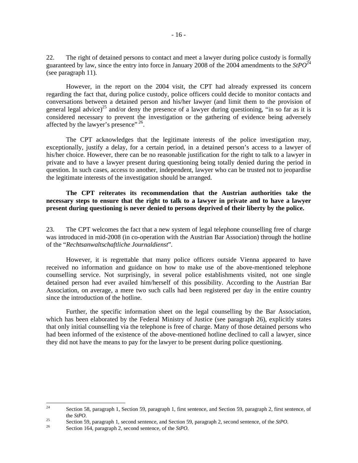22. The right of detained persons to contact and meet a lawyer during police custody is formally guaranteed by law, since the entry into force in January 2008 of the 2004 amendments to the  $StPO^{24}$ (see paragraph 11).

 However, in the report on the 2004 visit, the CPT had already expressed its concern regarding the fact that, during police custody, police officers could decide to monitor contacts and conversations between a detained person and his/her lawyer (and limit them to the provision of general legal advice)<sup>25</sup> and/or deny the presence of a lawyer during questioning, "in so far as it is considered necessary to prevent the investigation or the gathering of evidence being adversely affected by the lawyer's presence"<sup>26</sup>.

 The CPT acknowledges that the legitimate interests of the police investigation may, exceptionally, justify a delay, for a certain period, in a detained person's access to a lawyer of his/her choice. However, there can be no reasonable justification for the right to talk to a lawyer in private and to have a lawyer present during questioning being totally denied during the period in question. In such cases, access to another, independent, lawyer who can be trusted not to jeopardise the legitimate interests of the investigation should be arranged.

**The CPT reiterates its recommendation that the Austrian authorities take the necessary steps to ensure that the right to talk to a lawyer in private and to have a lawyer present during questioning is never denied to persons deprived of their liberty by the police.** 

23. The CPT welcomes the fact that a new system of legal telephone counselling free of charge was introduced in mid-2008 (in co-operation with the Austrian Bar Association) through the hotline of the "*Rechtsanwaltschaftliche Journaldienst*".

 However, it is regrettable that many police officers outside Vienna appeared to have received no information and guidance on how to make use of the above-mentioned telephone counselling service. Not surprisingly, in several police establishments visited, not one single detained person had ever availed him/herself of this possibility. According to the Austrian Bar Association, on average, a mere two such calls had been registered per day in the entire country since the introduction of the hotline.

 Further, the specific information sheet on the legal counselling by the Bar Association, which has been elaborated by the Federal Ministry of Justice (see paragraph 26), explicitly states that only initial counselling via the telephone is free of charge. Many of those detained persons who had been informed of the existence of the above-mentioned hotline declined to call a lawyer, since they did not have the means to pay for the lawyer to be present during police questioning.

 $24$ Section 58, paragraph 1, Section 59, paragraph 1, first sentence, and Section 59, paragraph 2, first sentence, of the *StPO*.

<sup>25</sup> Section 59, paragraph 1, second sentence, and Section 59, paragraph 2, second sentence, of the *StPO*.

Section 164, paragraph 2, second sentence, of the *StPO*.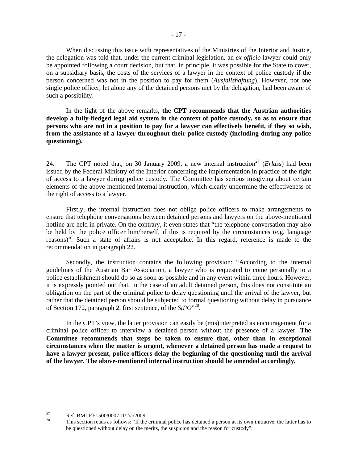When discussing this issue with representatives of the Ministries of the Interior and Justice, the delegation was told that, under the current criminal legislation, an *ex officio* lawyer could only be appointed following a court decision, but that, in principle, it was possible for the State to cover, on a subsidiary basis, the costs of the services of a lawyer in the context of police custody if the person concerned was not in the position to pay for them (*Ausfallshaftung*). However, not one single police officer, let alone any of the detained persons met by the delegation, had been aware of such a possibility.

 In the light of the above remarks, **the CPT recommends that the Austrian authorities develop a fully-fledged legal aid system in the context of police custody, so as to ensure that persons who are not in a position to pay for a lawyer can effectively benefit, if they so wish, from the assistance of a lawyer throughout their police custody (including during any police questioning).**

24. The CPT noted that, on 30 January 2009, a new internal instruction<sup>27</sup> (*Erlass*) had been issued by the Federal Ministry of the Interior concerning the implementation in practice of the right of access to a lawyer during police custody. The Committee has serious misgiving about certain elements of the above-mentioned internal instruction, which clearly undermine the effectiveness of the right of access to a lawyer.

 Firstly, the internal instruction does not oblige police officers to make arrangements to ensure that telephone conversations between detained persons and lawyers on the above-mentioned hotline are held in private. On the contrary, it even states that "the telephone conversation may also be held by the police officer him/herself, if this is required by the circumstances (e.g. language reasons)". Such a state of affairs is not acceptable. In this regard, reference is made to the recommendation in paragraph 22.

 Secondly, the instruction contains the following provision: "According to the internal guidelines of the Austrian Bar Association, a lawyer who is requested to come personally to a police establishment should do so as soon as possible and in any event within three hours. However, it is expressly pointed out that, in the case of an adult detained person, this does not constitute an obligation on the part of the criminal police to delay questioning until the arrival of the lawyer, but rather that the detained person should be subjected to formal questioning without delay in pursuance of Section 172, paragraph 2, first sentence, of the *StPO*" 28 .

 In the CPT's view, the latter provision can easily be (mis)interpreted as encouragement for a criminal police officer to interview a detained person without the presence of a lawyer. **The Committee recommends that steps be taken to ensure that, other than in exceptional circumstances when the matter is urgent, whenever a detained person has made a request to have a lawyer present, police officers delay the beginning of the questioning until the arrival of the lawyer. The above-mentioned internal instruction should be amended accordingly.**

<sup>27</sup> <sup>27</sup> Ref. BMI-EE1500/0007-II/2/a/2009.

<sup>28</sup> This section reads as follows: "If the criminal police has detained a person at its own initiative, the latter has to be questioned without delay on the merits, the suspicion and the reason for custody".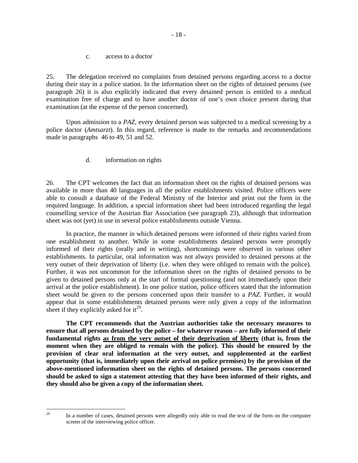c. access to a doctor

25. The delegation received no complaints from detained persons regarding access to a doctor during their stay in a police station. In the information sheet on the rights of detained persons (see paragraph 26) it is also explicitly indicated that every detained person is entitled to a medical examination free of charge and to have another doctor of one's own choice present during that examination (at the expense of the person concerned).

 Upon admission to a *PAZ*, every detained person was subjected to a medical screening by a police doctor (*Amtsarzt*). In this regard, reference is made to the remarks and recommendations made in paragraphs 46 to 49, 51 and 52.

d. information on rights

26. The CPT welcomes the fact that an information sheet on the rights of detained persons was available in more than 40 languages in all the police establishments visited. Police officers were able to consult a database of the Federal Ministry of the Interior and print out the form in the required language. In addition, a special information sheet had been introduced regarding the legal counselling service of the Austrian Bar Association (see paragraph 23), although that information sheet was not (yet) in use in several police establishments outside Vienna.

 In practice, the manner in which detained persons were informed of their rights varied from one establishment to another. While in some establishments detained persons were promptly informed of their rights (orally and in writing), shortcomings were observed in various other establishments. In particular, oral information was not always provided to detained persons at the very outset of their deprivation of liberty (i.e. when they were obliged to remain with the police). Further, it was not uncommon for the information sheet on the rights of detained persons to be given to detained persons only at the start of formal questioning (and not immediately upon their arrival at the police establishment). In one police station, police officers stated that the information sheet would be given to the persons concerned upon their transfer to a *PAZ*. Further, it would appear that in some establishments detained persons were only given a copy of the information sheet if they explicitly asked for  $it^{29}$ .

 **The CPT recommends that the Austrian authorities take the necessary measures to ensure that all persons detained by the police – for whatever reason – are fully informed of their fundamental rights as from the very outset of their deprivation of liberty (that is, from the moment when they are obliged to remain with the police). This should be ensured by the provision of clear oral information at the very outset, and supplemented at the earliest opportunity (that is, immediately upon their arrival on police premises) by the provision of the above-mentioned information sheet on the rights of detained persons. The persons concerned should be asked to sign a statement attesting that they have been informed of their rights, and they should also be given a copy of the information sheet.** 

<sup>29</sup> 

In a number of cases, detained persons were allegedly only able to read the text of the form on the computer screen of the interviewing police officer.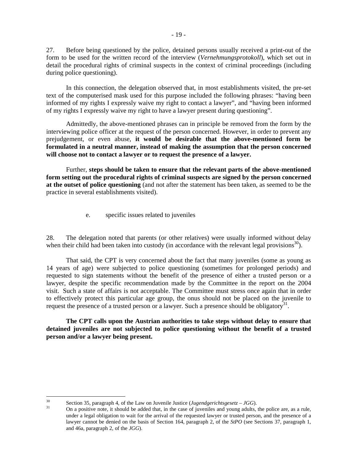27. Before being questioned by the police, detained persons usually received a print-out of the form to be used for the written record of the interview (*Vernehmungsprotokoll*), which set out in detail the procedural rights of criminal suspects in the context of criminal proceedings (including during police questioning).

 In this connection, the delegation observed that, in most establishments visited, the pre-set text of the computerised mask used for this purpose included the following phrases: "having been informed of my rights I expressly waive my right to contact a lawyer", and "having been informed of my rights I expressly waive my right to have a lawyer present during questioning".

 Admittedly, the above-mentioned phrases can in principle be removed from the form by the interviewing police officer at the request of the person concerned. However, in order to prevent any prejudgement, or even abuse, **it would be desirable that the above-mentioned form be formulated in a neutral manner, instead of making the assumption that the person concerned will choose not to contact a lawyer or to request the presence of a lawyer.**

 Further, **steps should be taken to ensure that the relevant parts of the above-mentioned form setting out the procedural rights of criminal suspects are signed by the person concerned at the outset of police questioning** (and not after the statement has been taken, as seemed to be the practice in several establishments visited).

e. specific issues related to juveniles

28. The delegation noted that parents (or other relatives) were usually informed without delay when their child had been taken into custody (in accordance with the relevant legal provisions<sup>30</sup>).

 That said, the CPT is very concerned about the fact that many juveniles (some as young as 14 years of age) were subjected to police questioning (sometimes for prolonged periods) and requested to sign statements without the benefit of the presence of either a trusted person or a lawyer, despite the specific recommendation made by the Committee in the report on the 2004 visit. Such a state of affairs is not acceptable. The Committee must stress once again that in order to effectively protect this particular age group, the onus should not be placed on the juvenile to request the presence of a trusted person or a lawyer. Such a presence should be obligatory<sup>31</sup>.

**The CPT calls upon the Austrian authorities to take steps without delay to ensure that detained juveniles are not subjected to police questioning without the benefit of a trusted person and/or a lawyer being present.** 

 $30<sup>2</sup>$ <sup>30</sup> Section 35, paragraph 4, of the Law on Juvenile Justice (*Jugendgerichtsgesetz – JGG*).<br><sup>31</sup> On a positive note it should be added that in the ages of inveniles and verme adults.

<sup>31</sup> On a positive note, it should be added that, in the case of juveniles and young adults, the police are, as a rule, under a legal obligation to wait for the arrival of the requested lawyer or trusted person, and the presence of a lawyer cannot be denied on the basis of Section 164, paragraph 2, of the *StPO* (see Sections 37, paragraph 1, and 46a, paragraph 2, of the *JGG*).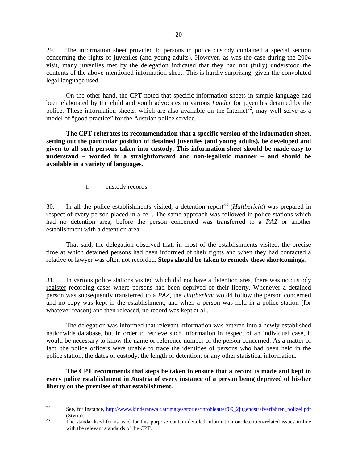29. The information sheet provided to persons in police custody contained a special section concerning the rights of juveniles (and young adults). However, as was the case during the 2004 visit, many juveniles met by the delegation indicated that they had not (fully) understood the contents of the above-mentioned information sheet. This is hardly surprising, given the convoluted legal language used.

 On the other hand, the CPT noted that specific information sheets in simple language had been elaborated by the child and youth advocates in various *Länder* for juveniles detained by the police. These information sheets, which are also available on the Internet<sup>32</sup>, may well serve as a model of "good practice" for the Austrian police service.

 **The CPT reiterates its recommendation that a specific version of the information sheet, setting out the particular position of detained juveniles (and young adults), be developed and given to all such persons taken into custody**. **This information sheet should be made easy to understand – worded in a straightforward and non-legalistic manner – and should be available in a variety of languages.** 

f. custody records

30. In all the police establishments visited, a detention report<sup>33</sup> (*Haftbericht*) was prepared in respect of every person placed in a cell. The same approach was followed in police stations which had no detention area, before the person concerned was transferred to a *PAZ* or another establishment with a detention area.

 That said, the delegation observed that, in most of the establishments visited, the precise time at which detained persons had been informed of their rights and when they had contacted a relative or lawyer was often not recorded. **Steps should be taken to remedy these shortcomings.**

31. In various police stations visited which did not have a detention area, there was no custody register recording cases where persons had been deprived of their liberty. Whenever a detained person was subsequently transferred to a *PAZ*, the *Haftbericht* would follow the person concerned and no copy was kept in the establishment, and when a person was held in a police station (for whatever reason) and then released, no record was kept at all.

 The delegation was informed that relevant information was entered into a newly-established nationwide database, but in order to retrieve such information in respect of an individual case, it would be necessary to know the name or reference number of the person concerned. As a matter of fact, the police officers were unable to trace the identities of persons who had been held in the police station, the dates of custody, the length of detention, or any other statistical information.

 **The CPT recommends that steps be taken to ensure that a record is made and kept in every police establishment in Austria of every instance of a person being deprived of his/her liberty on the premises of that establishment.** 

 $32$ See, for instance, http://www.kinderanwalt.at/images/stories/infobleatter/09\_2jugendstrafverfahren\_polizei.pdf (Styria).

<sup>&</sup>lt;sup>33</sup> The standardised forms used for this purpose contain detailed information on detention-related issues in line with the relevant standards of the CPT.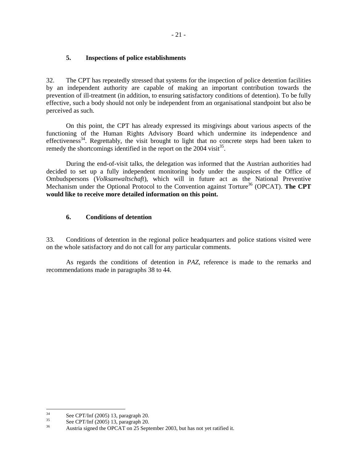### **5. Inspections of police establishments**

32. The CPT has repeatedly stressed that systems for the inspection of police detention facilities by an independent authority are capable of making an important contribution towards the prevention of ill-treatment (in addition, to ensuring satisfactory conditions of detention). To be fully effective, such a body should not only be independent from an organisational standpoint but also be perceived as such.

 On this point, the CPT has already expressed its misgivings about various aspects of the functioning of the Human Rights Advisory Board which undermine its independence and effectiveness<sup>34</sup>. Regrettably, the visit brought to light that no concrete steps had been taken to remedy the shortcomings identified in the report on the 2004 visit $^{35}$ .

 During the end-of-visit talks, the delegation was informed that the Austrian authorities had decided to set up a fully independent monitoring body under the auspices of the Office of Ombudspersons (*Volksanwaltschaft*), which will in future act as the National Preventive Mechanism under the Optional Protocol to the Convention against Torture<sup>36</sup> (OPCAT). The CPT **would like to receive more detailed information on this point.** 

### **6. Conditions of detention**

33. Conditions of detention in the regional police headquarters and police stations visited were on the whole satisfactory and do not call for any particular comments.

As regards the conditions of detention in *PAZ*, reference is made to the remarks and recommendations made in paragraphs 38 to 44.

 $34$ <sup>34</sup> See CPT/Inf (2005) 13, paragraph 20.<br><sup>35</sup> See CPT/Inf (2005) 13, paragraph 20.

 $\frac{35}{36}$  See CPT/Inf (2005) 13, paragraph 20.

Austria signed the OPCAT on 25 September 2003, but has not yet ratified it.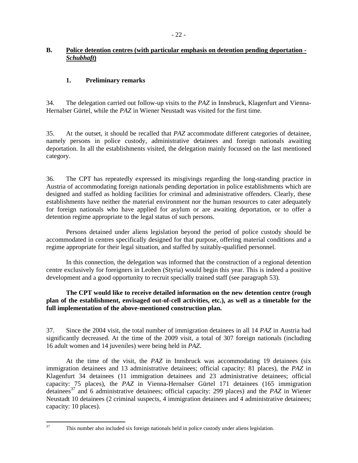## **B. Police detention centres (with particular emphasis on detention pending deportation -** *Schubhaft***)**

## **1. Preliminary remarks**

34. The delegation carried out follow-up visits to the *PAZ* in Innsbruck, Klagenfurt and Vienna-Hernalser Gürtel, while the *PAZ* in Wiener Neustadt was visited for the first time.

35. At the outset, it should be recalled that *PAZ* accommodate different categories of detainee, namely persons in police custody, administrative detainees and foreign nationals awaiting deportation. In all the establishments visited, the delegation mainly focussed on the last mentioned category.

36. The CPT has repeatedly expressed its misgivings regarding the long-standing practice in Austria of accommodating foreign nationals pending deportation in police establishments which are designed and staffed as holding facilities for criminal and administrative offenders. Clearly, these establishments have neither the material environment nor the human resources to cater adequately for foreign nationals who have applied for asylum or are awaiting deportation, or to offer a detention regime appropriate to the legal status of such persons.

 Persons detained under aliens legislation beyond the period of police custody should be accommodated in centres specifically designed for that purpose, offering material conditions and a regime appropriate for their legal situation, and staffed by suitably-qualified personnel.

 In this connection, the delegation was informed that the construction of a regional detention centre exclusively for foreigners in Leoben (Styria) would begin this year. This is indeed a positive development and a good opportunity to recruit specially trained staff (see paragraph 53).

## **The CPT would like to receive detailed information on the new detention centre (rough plan of the establishment, envisaged out-of-cell activities, etc.), as well as a timetable for the full implementation of the above-mentioned construction plan.**

37. Since the 2004 visit, the total number of immigration detainees in all 14 *PAZ* in Austria had significantly decreased. At the time of the 2009 visit, a total of 307 foreign nationals (including 16 adult women and 14 juveniles) were being held in *PAZ*.

 At the time of the visit, the *PAZ* in Innsbruck was accommodating 19 detainees (six immigration detainees and 13 administrative detainees; official capacity: 81 places), the *PAZ* in Klagenfurt 34 detainees (11 immigration detainees and 23 administrative detainees; official capacity: 75 places), the *PAZ* in Vienna-Hernalser Gürtel 171 detainees (165 immigration detainees<sup>37</sup> and 6 administrative detainees; official capacity: 299 places) and the *PAZ* in Wiener Neustadt 10 detainees (2 criminal suspects, 4 immigration detainees and 4 administrative detainees; capacity: 10 places).

 $37$ 

This number also included six foreign nationals held in police custody under aliens legislation.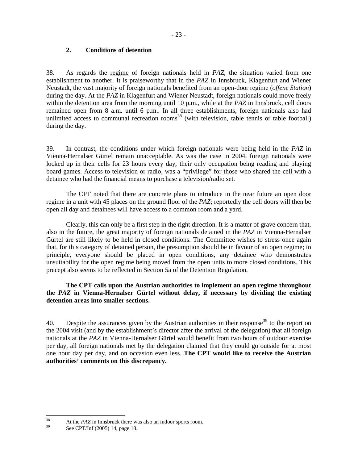### **2. Conditions of detention**

38. As regards the regime of foreign nationals held in *PAZ*, the situation varied from one establishment to another. It is praiseworthy that in the *PAZ* in Innsbruck, Klagenfurt and Wiener Neustadt, the vast majority of foreign nationals benefited from an open-door regime (*offene Station*) during the day. At the *PAZ* in Klagenfurt and Wiener Neustadt, foreign nationals could move freely within the detention area from the morning until 10 p.m., while at the *PAZ* in Innsbruck, cell doors remained open from 8 a.m. until 6 p.m.. In all three establishments, foreign nationals also had unlimited access to communal recreation rooms<sup>38</sup> (with television, table tennis or table football) during the day.

39. In contrast, the conditions under which foreign nationals were being held in the *PAZ* in Vienna-Hernalser Gürtel remain unacceptable. As was the case in 2004, foreign nationals were locked up in their cells for 23 hours every day, their only occupation being reading and playing board games. Access to television or radio, was a "privilege" for those who shared the cell with a detainee who had the financial means to purchase a television/radio set.

 The CPT noted that there are concrete plans to introduce in the near future an open door regime in a unit with 45 places on the ground floor of the *PAZ*; reportedly the cell doors will then be open all day and detainees will have access to a common room and a yard.

 Clearly, this can only be a first step in the right direction. It is a matter of grave concern that, also in the future, the great majority of foreign nationals detained in the *PAZ* in Vienna-Hernalser Gürtel are still likely to be held in closed conditions. The Committee wishes to stress once again that, for this category of detained person, the presumption should be in favour of an open regime; in principle, everyone should be placed in open conditions, any detainee who demonstrates unsuitability for the open regime being moved from the open units to more closed conditions. This precept also seems to be reflected in Section 5a of the Detention Regulation.

 **The CPT calls upon the Austrian authorities to implement an open regime throughout the** *PAZ* **in Vienna-Hernalser Gürtel without delay, if necessary by dividing the existing detention areas into smaller sections.** 

40. Despite the assurances given by the Austrian authorities in their response<sup>39</sup> to the report on the 2004 visit (and by the establishment's director after the arrival of the delegation) that all foreign nationals at the *PAZ* in Vienna-Hernalser Gürtel would benefit from two hours of outdoor exercise per day, all foreign nationals met by the delegation claimed that they could go outside for at most one hour day per day, and on occasion even less. **The CPT would like to receive the Austrian authorities' comments on this discrepancy.** 

 $38$  $^{38}$  At the *PAZ* in Innsbruck there was also an indoor sports room.

See CPT/Inf (2005) 14, page 18.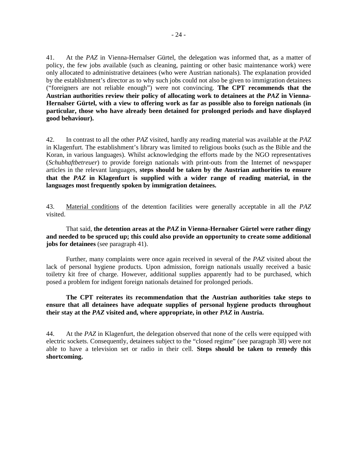41. At the *PAZ* in Vienna-Hernalser Gürtel, the delegation was informed that, as a matter of policy, the few jobs available (such as cleaning, painting or other basic maintenance work) were only allocated to administrative detainees (who were Austrian nationals). The explanation provided by the establishment's director as to why such jobs could not also be given to immigration detainees ("foreigners are not reliable enough") were not convincing. **The CPT recommends that the Austrian authorities review their policy of allocating work to detainees at the** *PAZ* **in Vienna-Hernalser Gürtel, with a view to offering work as far as possible also to foreign nationals (in particular, those who have already been detained for prolonged periods and have displayed good behaviour).** 

42. In contrast to all the other *PAZ* visited, hardly any reading material was available at the *PAZ* in Klagenfurt. The establishment's library was limited to religious books (such as the Bible and the Koran, in various languages). Whilst acknowledging the efforts made by the NGO representatives (*Schubhaftbetreuer*) to provide foreign nationals with print-outs from the Internet of newspaper articles in the relevant languages, **steps should be taken by the Austrian authorities to ensure that the** *PAZ* **in Klagenfurt is supplied with a wider range of reading material, in the languages most frequently spoken by immigration detainees.** 

43. Material conditions of the detention facilities were generally acceptable in all the *PAZ* visited.

 That said, **the detention areas at the** *PAZ* **in Vienna-Hernalser Gürtel were rather dingy and needed to be spruced up; this could also provide an opportunity to create some additional jobs for detainees** (see paragraph 41).

 Further, many complaints were once again received in several of the *PAZ* visited about the lack of personal hygiene products. Upon admission, foreign nationals usually received a basic toiletry kit free of charge. However, additional supplies apparently had to be purchased, which posed a problem for indigent foreign nationals detained for prolonged periods.

 **The CPT reiterates its recommendation that the Austrian authorities take steps to ensure that all detainees have adequate supplies of personal hygiene products throughout their stay at the** *PAZ* **visited and, where appropriate, in other** *PAZ* **in Austria.** 

44. At the *PAZ* in Klagenfurt, the delegation observed that none of the cells were equipped with electric sockets. Consequently, detainees subject to the "closed regime" (see paragraph 38) were not able to have a television set or radio in their cell. **Steps should be taken to remedy this shortcoming.**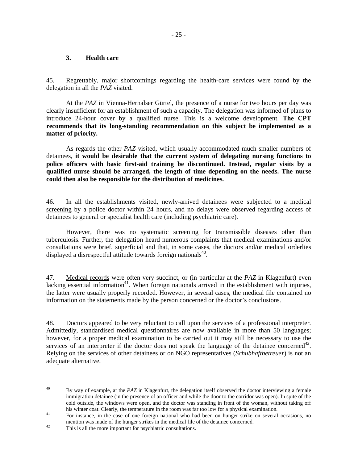#### **3. Health care**

45. Regrettably, major shortcomings regarding the health-care services were found by the delegation in all the *PAZ* visited.

 At the *PAZ* in Vienna-Hernalser Gürtel, the presence of a nurse for two hours per day was clearly insufficient for an establishment of such a capacity. The delegation was informed of plans to introduce 24-hour cover by a qualified nurse. This is a welcome development. **The CPT recommends that its long-standing recommendation on this subject be implemented as a matter of priority.**

 As regards the other *PAZ* visited, which usually accommodated much smaller numbers of detainees, **it would be desirable that the current system of delegating nursing functions to police officers with basic first-aid training be discontinued. Instead, regular visits by a qualified nurse should be arranged, the length of time depending on the needs. The nurse could then also be responsible for the distribution of medicines.**

46. In all the establishments visited, newly-arrived detainees were subjected to a medical screening by a police doctor within 24 hours, and no delays were observed regarding access of detainees to general or specialist health care (including psychiatric care).

 However, there was no systematic screening for transmissible diseases other than tuberculosis. Further, the delegation heard numerous complaints that medical examinations and/or consultations were brief, superficial and that, in some cases, the doctors and/or medical orderlies displayed a disrespectful attitude towards foreign nationals $40$ .

47. Medical records were often very succinct, or (in particular at the *PAZ* in Klagenfurt) even lacking essential information<sup>41</sup>. When foreign nationals arrived in the establishment with injuries, the latter were usually properly recorded. However, in several cases, the medical file contained no information on the statements made by the person concerned or the doctor's conclusions.

48. Doctors appeared to be very reluctant to call upon the services of a professional interpreter. Admittedly, standardised medical questionnaires are now available in more than 50 languages; however, for a proper medical examination to be carried out it may still be necessary to use the services of an interpreter if the doctor does not speak the language of the detainee concerned $42$ . Relying on the services of other detainees or on NGO representatives (*Schubhaftbetreuer*) is not an adequate alternative.

 $40<sup>2</sup>$ <sup>40</sup> By way of example, at the *PAZ* in Klagenfurt, the delegation itself observed the doctor interviewing a female immigration detainee (in the presence of an officer and while the door to the corridor was open). In spite of the cold outside, the windows were open, and the doctor was standing in front of the woman, without taking off his winter coat. Clearly, the temperature in the room was far too low for a physical examination.

<sup>&</sup>lt;sup>41</sup> For instance, in the case of one foreign national who had been on hunger strike on several occasions, no mention was made of the hunger strikes in the medical file of the detainee concerned.

<sup>&</sup>lt;sup>42</sup> This is all the more important for psychiatric consultations.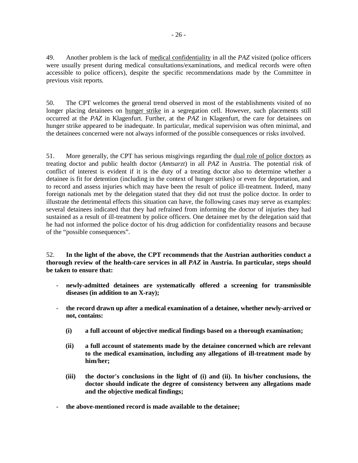49. Another problem is the lack of medical confidentiality in all the *PAZ* visited (police officers were usually present during medical consultations/examinations, and medical records were often accessible to police officers), despite the specific recommendations made by the Committee in previous visit reports.

50. The CPT welcomes the general trend observed in most of the establishments visited of no longer placing detainees on hunger strike in a segregation cell. However, such placements still occurred at the *PAZ* in Klagenfurt. Further, at the *PAZ* in Klagenfurt, the care for detainees on hunger strike appeared to be inadequate. In particular, medical supervision was often minimal, and the detainees concerned were not always informed of the possible consequences or risks involved.

51. More generally, the CPT has serious misgivings regarding the dual role of police doctors as treating doctor and public health doctor (*Amtsarzt*) in all *PAZ* in Austria. The potential risk of conflict of interest is evident if it is the duty of a treating doctor also to determine whether a detainee is fit for detention (including in the context of hunger strikes) or even for deportation, and to record and assess injuries which may have been the result of police ill-treatment. Indeed, many foreign nationals met by the delegation stated that they did not trust the police doctor. In order to illustrate the detrimental effects this situation can have, the following cases may serve as examples: several detainees indicated that they had refrained from informing the doctor of injuries they had sustained as a result of ill-treatment by police officers. One detainee met by the delegation said that he had not informed the police doctor of his drug addiction for confidentiality reasons and because of the "possible consequences".

52. **In the light of the above, the CPT recommends that the Austrian authorities conduct a thorough review of the health-care services in all** *PAZ* **in Austria. In particular, steps should be taken to ensure that:** 

- **newly-admitted detainees are systematically offered a screening for transmissible diseases (in addition to an X-ray);**
- the record drawn up after a medical examination of a detainee, whether newly-arrived or **not, contains:** 
	- **(i) a full account of objective medical findings based on a thorough examination;**
	- **(ii) a full account of statements made by the detainee concerned which are relevant to the medical examination, including any allegations of ill-treatment made by him/her;**
	- **(iii) the doctor's conclusions in the light of (i) and (ii). In his/her conclusions, the doctor should indicate the degree of consistency between any allegations made and the objective medical findings;**
- **the above-mentioned record is made available to the detainee;**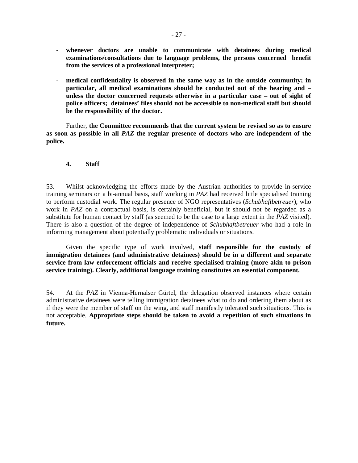- **whenever doctors are unable to communicate with detainees during medical examinations/consultations due to language problems, the persons concerned benefit from the services of a professional interpreter;**
- medical confidentiality is observed in the same way as in the outside community; in **particular, all medical examinations should be conducted out of the hearing and – unless the doctor concerned requests otherwise in a particular case – out of sight of police officers; detainees' files should not be accessible to non-medical staff but should be the responsibility of the doctor.**

 Further, **the Committee recommends that the current system be revised so as to ensure as soon as possible in all** *PAZ* **the regular presence of doctors who are independent of the police.** 

#### **4. Staff**

53. Whilst acknowledging the efforts made by the Austrian authorities to provide in-service training seminars on a bi-annual basis, staff working in *PAZ* had received little specialised training to perform custodial work. The regular presence of NGO representatives (*Schubhaftbetreuer*), who work in *PAZ* on a contractual basis, is certainly beneficial, but it should not be regarded as a substitute for human contact by staff (as seemed to be the case to a large extent in the *PAZ* visited). There is also a question of the degree of independence of *Schubhaftbetreuer* who had a role in informing management about potentially problematic individuals or situations.

 Given the specific type of work involved, **staff responsible for the custody of immigration detainees (and administrative detainees) should be in a different and separate service from law enforcement officials and receive specialised training (more akin to prison service training). Clearly, additional language training constitutes an essential component.**

54. At the *PAZ* in Vienna-Hernalser Gürtel, the delegation observed instances where certain administrative detainees were telling immigration detainees what to do and ordering them about as if they were the member of staff on the wing, and staff manifestly tolerated such situations. This is not acceptable. **Appropriate steps should be taken to avoid a repetition of such situations in future.**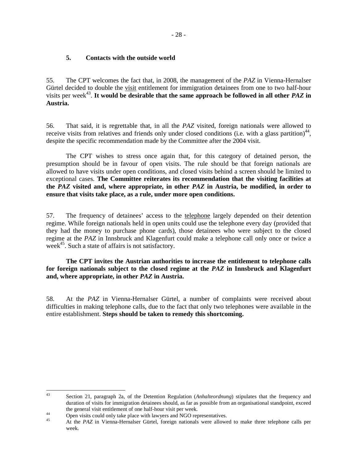55. The CPT welcomes the fact that, in 2008, the management of the *PAZ* in Vienna-Hernalser Gürtel decided to double the visit entitlement for immigration detainees from one to two half-hour visits per week<sup>43</sup>. It would be desirable that the same approach be followed in all other *PAZ* in **Austria.** 

56. That said, it is regrettable that, in all the *PAZ* visited, foreign nationals were allowed to receive visits from relatives and friends only under closed conditions (i.e. with a glass partition) $44$ , despite the specific recommendation made by the Committee after the 2004 visit.

 The CPT wishes to stress once again that, for this category of detained person, the presumption should be in favour of open visits. The rule should be that foreign nationals are allowed to have visits under open conditions, and closed visits behind a screen should be limited to exceptional cases. **The Committee reiterates its recommendation that the visiting facilities at the** *PAZ* **visited and, where appropriate, in other** *PAZ* **in Austria, be modified, in order to ensure that visits take place, as a rule, under more open conditions.**

57. The frequency of detainees' access to the telephone largely depended on their detention regime. While foreign nationals held in open units could use the telephone every day (provided that they had the money to purchase phone cards), those detainees who were subject to the closed regime at the *PAZ* in Innsbruck and Klagenfurt could make a telephone call only once or twice a week<sup>45</sup>. Such a state of affairs is not satisfactory.

 **The CPT invites the Austrian authorities to increase the entitlement to telephone calls for foreign nationals subject to the closed regime at the** *PAZ* **in Innsbruck and Klagenfurt and, where appropriate, in other** *PAZ* **in Austria.** 

58. At the *PAZ* in Vienna-Hernalser Gürtel, a number of complaints were received about difficulties in making telephone calls, due to the fact that only two telephones were available in the entire establishment. **Steps should be taken to remedy this shortcoming.** 

 $43$ <sup>43</sup> Section 21, paragraph 2a, of the Detention Regulation (*Anhalteordnung*) stipulates that the frequency and duration of visits for immigration detainees should, as far as possible from an organisational standpoint, exceed the general visit entitlement of one half-hour visit per week.

<sup>&</sup>lt;sup>44</sup> Open visits could only take place with lawyers and NGO representatives.<br> $\frac{45}{45}$  At the *PAZ* in Vienna Hermelese Gijttel, fonsion nationals were allowed

<sup>45</sup> At the *PAZ* in Vienna-Hernalser Gürtel, foreign nationals were allowed to make three telephone calls per week.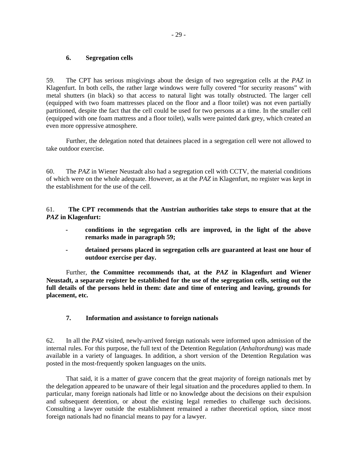### **6. Segregation cells**

59. The CPT has serious misgivings about the design of two segregation cells at the *PAZ* in Klagenfurt. In both cells, the rather large windows were fully covered "for security reasons" with metal shutters (in black) so that access to natural light was totally obstructed. The larger cell (equipped with two foam mattresses placed on the floor and a floor toilet) was not even partially partitioned, despite the fact that the cell could be used for two persons at a time. In the smaller cell (equipped with one foam mattress and a floor toilet), walls were painted dark grey, which created an even more oppressive atmosphere.

 Further, the delegation noted that detainees placed in a segregation cell were not allowed to take outdoor exercise.

60. The *PAZ* in Wiener Neustadt also had a segregation cell with CCTV, the material conditions of which were on the whole adequate. However, as at the *PAZ* in Klagenfurt, no register was kept in the establishment for the use of the cell.

61. **The CPT recommends that the Austrian authorities take steps to ensure that at the**  *PAZ* **in Klagenfurt:** 

- **conditions in the segregation cells are improved, in the light of the above remarks made in paragraph 59;**
- **detained persons placed in segregation cells are guaranteed at least one hour of outdoor exercise per day.**

 Further, **the Committee recommends that, at the** *PAZ* **in Klagenfurt and Wiener Neustadt, a separate register be established for the use of the segregation cells, setting out the full details of the persons held in them: date and time of entering and leaving, grounds for placement, etc.** 

## **7. Information and assistance to foreign nationals**

62. In all the *PAZ* visited, newly-arrived foreign nationals were informed upon admission of the internal rules. For this purpose, the full text of the Detention Regulation (*Anhaltordnung*) was made available in a variety of languages. In addition, a short version of the Detention Regulation was posted in the most-frequently spoken languages on the units.

 That said, it is a matter of grave concern that the great majority of foreign nationals met by the delegation appeared to be unaware of their legal situation and the procedures applied to them. In particular, many foreign nationals had little or no knowledge about the decisions on their expulsion and subsequent detention, or about the existing legal remedies to challenge such decisions. Consulting a lawyer outside the establishment remained a rather theoretical option, since most foreign nationals had no financial means to pay for a lawyer.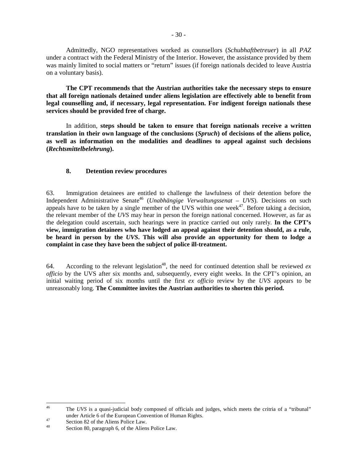Admittedly, NGO representatives worked as counsellors (*Schubhaftbetreuer*) in all *PAZ* under a contract with the Federal Ministry of the Interior. However, the assistance provided by them was mainly limited to social matters or "return" issues (if foreign nationals decided to leave Austria on a voluntary basis).

 **The CPT recommends that the Austrian authorities take the necessary steps to ensure that all foreign nationals detained under aliens legislation are effectively able to benefit from legal counselling and, if necessary, legal representation. For indigent foreign nationals these services should be provided free of charge.** 

 In addition, **steps should be taken to ensure that foreign nationals receive a written translation in their own language of the conclusions (***Spruch***) of decisions of the aliens police, as well as information on the modalities and deadlines to appeal against such decisions (***Rechtsmittelbelehrung***).** 

#### **8. Detention review procedures**

63. Immigration detainees are entitled to challenge the lawfulness of their detention before the Independent Administrative Senate<sup>46</sup> (*Unabhängige Verwaltungssenat – UVS*). Decisions on such appeals have to be taken by a single member of the UVS within one week $47$ . Before taking a decision, the relevant member of the *UVS* may hear in person the foreign national concerned. However, as far as the delegation could ascertain, such hearings were in practice carried out only rarely. **In the CPT's view, immigration detainees who have lodged an appeal against their detention should, as a rule, be heard in person by the** *UVS***. This will also provide an opportunity for them to lodge a complaint in case they have been the subject of police ill-treatment.** 

64. According to the relevant legislation<sup>48</sup>, the need for continued detention shall be reviewed  $ex$ *officio* by the UVS after six months and, subsequently, every eight weeks. In the CPT's opinion, an initial waiting period of six months until the first *ex officio* review by the *UVS* appears to be unreasonably long. **The Committee invites the Austrian authorities to shorten this period.**

 $46$ The *UVS* is a quasi-judicial body composed of officials and judges, which meets the critria of a "tribunal" under Article 6 of the European Convention of Human Rights.

<sup>&</sup>lt;sup>47</sup> Section 82 of the Aliens Police Law.<br><sup>48</sup> Section 80 gaugement 6 of the Aliens

Section 80, paragraph 6, of the Aliens Police Law.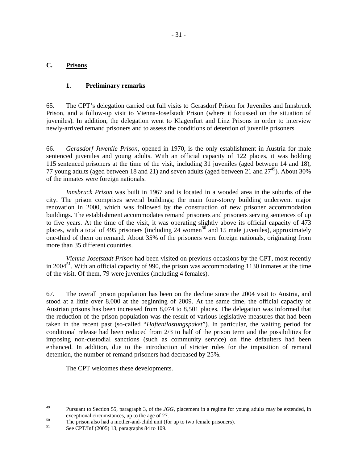### **C. Prisons**

### **1. Preliminary remarks**

65. The CPT's delegation carried out full visits to Gerasdorf Prison for Juveniles and Innsbruck Prison, and a follow-up visit to Vienna-Josefstadt Prison (where it focussed on the situation of juveniles). In addition, the delegation went to Klagenfurt and Linz Prisons in order to interview newly-arrived remand prisoners and to assess the conditions of detention of juvenile prisoners.

66. *Gerasdorf Juvenile Prison*, opened in 1970, is the only establishment in Austria for male sentenced juveniles and young adults. With an official capacity of 122 places, it was holding 115 sentenced prisoners at the time of the visit, including 31 juveniles (aged between 14 and 18), 77 young adults (aged between 18 and 21) and seven adults (aged between  $21$  and  $27^{49}$ ). About 30% of the inmates were foreign nationals.

*Innsbruck Prison* was built in 1967 and is located in a wooded area in the suburbs of the city. The prison comprises several buildings; the main four-storey building underwent major renovation in 2000, which was followed by the construction of new prisoner accommodation buildings. The establishment accommodates remand prisoners and prisoners serving sentences of up to five years. At the time of the visit, it was operating slightly above its official capacity of 473 places, with a total of 495 prisoners (including  $24$  women<sup>50</sup> and 15 male juveniles), approximately one-third of them on remand. About 35% of the prisoners were foreign nationals, originating from more than 35 different countries.

*Vienna-Josefstadt Prison* had been visited on previous occasions by the CPT, most recently in 2004 $^{51}$ . With an official capacity of 990, the prison was accommodating 1130 inmates at the time of the visit. Of them, 79 were juveniles (including 4 females).

67. The overall prison population has been on the decline since the 2004 visit to Austria, and stood at a little over 8,000 at the beginning of 2009. At the same time, the official capacity of Austrian prisons has been increased from 8,074 to 8,501 places. The delegation was informed that the reduction of the prison population was the result of various legislative measures that had been taken in the recent past (so-called "*Haftentlastungspaket*"). In particular, the waiting period for conditional release had been reduced from 2/3 to half of the prison term and the possibilities for imposing non-custodial sanctions (such as community service) on fine defaulters had been enhanced. In addition, due to the introduction of stricter rules for the imposition of remand detention, the number of remand prisoners had decreased by 25%.

The CPT welcomes these developments.

<sup>49</sup> <sup>49</sup> Pursuant to Section 55, paragraph 3, of the *JGG*, placement in a regime for young adults may be extended, in exceptional circumstances, up to the age of 27.

<sup>&</sup>lt;sup>50</sup> The prison also had a mother-and-child unit (for up to two female prisoners).<br>
See CDT/Lef (2005) 12, negaggerals 84 to 100.

See CPT/Inf (2005) 13, paragraphs 84 to 109.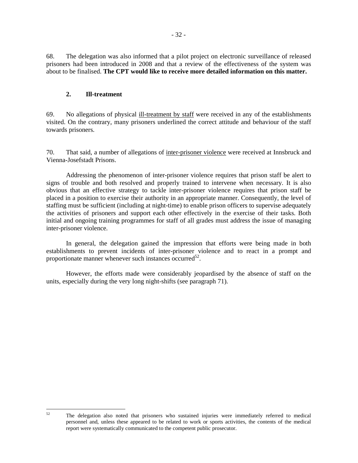68. The delegation was also informed that a pilot project on electronic surveillance of released prisoners had been introduced in 2008 and that a review of the effectiveness of the system was about to be finalised. **The CPT would like to receive more detailed information on this matter.** 

### **2. Ill-treatment**

52

69. No allegations of physical ill-treatment by staff were received in any of the establishments visited. On the contrary, many prisoners underlined the correct attitude and behaviour of the staff towards prisoners.

70. That said, a number of allegations of inter-prisoner violence were received at Innsbruck and Vienna-Josefstadt Prisons.

 Addressing the phenomenon of inter-prisoner violence requires that prison staff be alert to signs of trouble and both resolved and properly trained to intervene when necessary. It is also obvious that an effective strategy to tackle inter-prisoner violence requires that prison staff be placed in a position to exercise their authority in an appropriate manner. Consequently, the level of staffing must be sufficient (including at night-time) to enable prison officers to supervise adequately the activities of prisoners and support each other effectively in the exercise of their tasks. Both initial and ongoing training programmes for staff of all grades must address the issue of managing inter-prisoner violence.

 In general, the delegation gained the impression that efforts were being made in both establishments to prevent incidents of inter-prisoner violence and to react in a prompt and proportionate manner whenever such instances occurred<sup>52</sup>.

 However, the efforts made were considerably jeopardised by the absence of staff on the units, especially during the very long night-shifts (see paragraph 71).

- 32 -

The delegation also noted that prisoners who sustained injuries were immediately referred to medical personnel and, unless these appeared to be related to work or sports activities, the contents of the medical report were systematically communicated to the competent public prosecutor.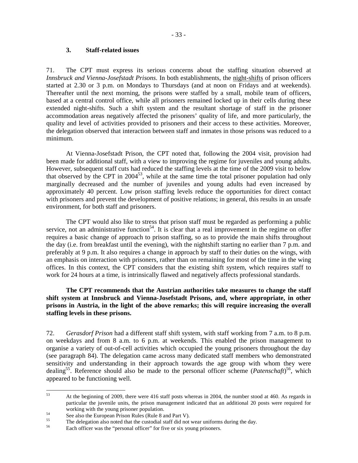#### **3. Staff-related issues**

71. The CPT must express its serious concerns about the staffing situation observed at *Innsbruck and Vienna-Josefstadt Prisons*. In both establishments, the night-shifts of prison officers started at 2.30 or 3 p.m. on Mondays to Thursdays (and at noon on Fridays and at weekends). Thereafter until the next morning, the prisons were staffed by a small, mobile team of officers, based at a central control office, while all prisoners remained locked up in their cells during these extended night-shifts. Such a shift system and the resultant shortage of staff in the prisoner accommodation areas negatively affected the prisoners' quality of life, and more particularly, the quality and level of activities provided to prisoners and their access to these activities. Moreover, the delegation observed that interaction between staff and inmates in those prisons was reduced to a minimum.

 At Vienna-Josefstadt Prison, the CPT noted that, following the 2004 visit, provision had been made for additional staff, with a view to improving the regime for juveniles and young adults. However, subsequent staff cuts had reduced the staffing levels at the time of the 2009 visit to below that observed by the CPT in  $2004^{53}$ , while at the same time the total prisoner population had only marginally decreased and the number of juveniles and young adults had even increased by approximately 40 percent. Low prison staffing levels reduce the opportunities for direct contact with prisoners and prevent the development of positive relations; in general, this results in an unsafe environment, for both staff and prisoners.

 The CPT would also like to stress that prison staff must be regarded as performing a public service, not an administrative function<sup>54</sup>. It is clear that a real improvement in the regime on offer requires a basic change of approach to prison staffing, so as to provide the main shifts throughout the day (i.e. from breakfast until the evening), with the nightshift starting no earlier than 7 p.m. and preferably at 9 p.m. It also requires a change in approach by staff to their duties on the wings, with an emphasis on interaction with prisoners, rather than on remaining for most of the time in the wing offices. In this context, the CPT considers that the existing shift system, which requires staff to work for 24 hours at a time, is intrinsically flawed and negatively affects professional standards.

**The CPT recommends that the Austrian authorities take measures to change the staff shift system at Innsbruck and Vienna-Josefstadt Prisons, and, where appropriate, in other prisons in Austria, in the light of the above remarks; this will require increasing the overall staffing levels in these prisons.**

72. *Gerasdorf Prison* had a different staff shift system, with staff working from 7 a.m. to 8 p.m. on weekdays and from 8 a.m. to 6 p.m. at weekends. This enabled the prison management to organise a variety of out-of-cell activities which occupied the young prisoners throughout the day (see paragraph 84). The delegation came across many dedicated staff members who demonstrated sensitivity and understanding in their approach towards the age group with whom they were dealing<sup>55</sup>. Reference should also be made to the personal officer scheme (*Patenschaft*) <sup>56</sup>, which appeared to be functioning well.

 $53$ <sup>53</sup> At the beginning of 2009, there were 416 staff posts whereas in 2004, the number stood at 460. As regards in particular the juvenile units, the prison management indicated that an additional 20 posts were required for working with the young prisoner population.

 $54$  See also the European Prison Rules (Rule 8 and Part V).<br>The delegation also noted that the quotedial staff did not

<sup>&</sup>lt;sup>55</sup> The delegation also noted that the custodial staff did not wear uniforms during the day.

Each officer was the "personal officer" for five or six young prisoners.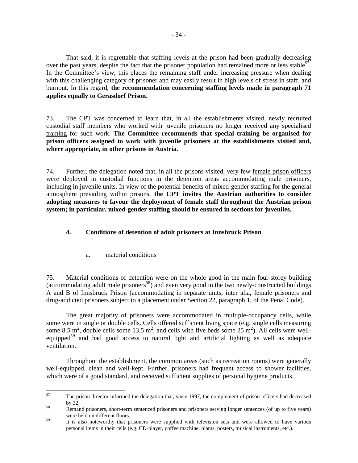That said, it is regrettable that staffing levels at the prison had been gradually decreasing over the past years, despite the fact that the prisoner population had remained more or less stable  $57$ . In the Committee's view, this places the remaining staff under increasing pressure when dealing with this challenging category of prisoner and may easily result in high levels of stress in staff, and burnout. In this regard, **the recommendation concerning staffing levels made in paragraph 71 applies equally to Gerasdorf Prison.** 

73. The CPT was concerned to learn that, in all the establishments visited, newly recruited custodial staff members who worked with juvenile prisoners no longer received any specialised training for such work. **The Committee recommends that special training be organised for prison officers assigned to work with juvenile prisoners at the establishments visited and, where appropriate, in other prisons in Austria.** 

74. Further, the delegation noted that, in all the prisons visited, very few female prison officers were deployed in custodial functions in the detention areas accommodating male prisoners, including in juvenile units. In view of the potential benefits of mixed-gender staffing for the general atmosphere prevailing within prisons, **the CPT invites the Austrian authorities to consider adopting measures to favour the deployment of female staff throughout the Austrian prison system; in particular, mixed-gender staffing should be ensured in sections for juveniles.**

### **4. Conditions of detention of adult prisoners at Innsbruck Prison**

a. material conditions

75. Material conditions of detention were on the whole good in the main four-storey building (accommodating adult male prisoners<sup>58</sup>) and even very good in the two newly-constructed buildings A and B of Innsbruck Prison (accommodating in separate units, inter alia, female prisoners and drug-addicted prisoners subject to a placement under Section 22, paragraph 1, of the Penal Code).

 The great majority of prisoners were accommodated in multiple-occupancy cells, while some were in single or double cells. Cells offered sufficient living space (e.g. single cells measuring some 8.5 m<sup>2</sup>, double cells some 13.5 m<sup>2</sup>, and cells with five beds some 25 m<sup>2</sup>). All cells were wellequipped<sup>59</sup> and had good access to natural light and artificial lighting as well as adequate ventilation.

 Throughout the establishment, the common areas (such as recreation rooms) were generally well-equipped, clean and well-kept. Further, prisoners had frequent access to shower facilities, which were of a good standard, and received sufficient supplies of personal hygiene products.

<sup>57</sup> <sup>57</sup> The prison director informed the delegation that, since 1997, the complement of prison officers had decreased by 32.

<sup>&</sup>lt;sup>58</sup> Remand prisoners, short-term sentenced prisoners and prisoners serving longer sentences (of up to five years) were held on different floors.

<sup>&</sup>lt;sup>59</sup> It is also noteworthy that prisoners were supplied with television sets and were allowed to have various personal items in their cells (e.g. CD-player, coffee machine, plants, posters, musical instruments, etc.).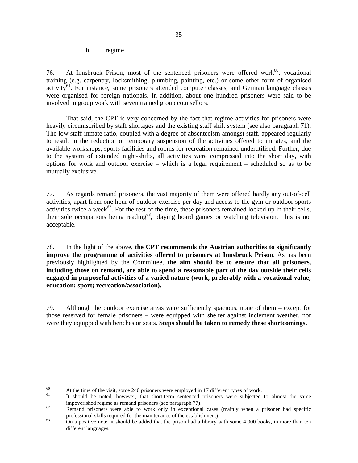b. regime

76. At Innsbruck Prison, most of the sentenced prisoners were offered work $^{60}$ , vocational training (e.g. carpentry, locksmithing, plumbing, painting, etc.) or some other form of organised activity<sup>61</sup>. For instance, some prisoners attended computer classes, and German language classes were organised for foreign nationals. In addition, about one hundred prisoners were said to be involved in group work with seven trained group counsellors.

 That said, the CPT is very concerned by the fact that regime activities for prisoners were heavily circumscribed by staff shortages and the existing staff shift system (see also paragraph 71). The low staff-inmate ratio, coupled with a degree of absenteeism amongst staff, appeared regularly to result in the reduction or temporary suspension of the activities offered to inmates, and the available workshops, sports facilities and rooms for recreation remained underutilised. Further, due to the system of extended night-shifts, all activities were compressed into the short day, with options for work and outdoor exercise – which is a legal requirement – scheduled so as to be mutually exclusive.

77. As regards remand prisoners, the vast majority of them were offered hardly any out-of-cell activities, apart from one hour of outdoor exercise per day and access to the gym or outdoor sports activities twice a week $62$ . For the rest of the time, these prisoners remained locked up in their cells, their sole occupations being reading<sup>63</sup>, playing board games or watching television. This is not acceptable.

78. In the light of the above, **the CPT recommends the Austrian authorities to significantly improve the programme of activities offered to prisoners at Innsbruck Prison**. As has been previously highlighted by the Committee, **the aim should be to ensure that all prisoners, including those on remand, are able to spend a reasonable part of the day outside their cells engaged in purposeful activities of a varied nature (work, preferably with a vocational value; education; sport; recreation/association).**

79. Although the outdoor exercise areas were sufficiently spacious, none of them – except for those reserved for female prisoners – were equipped with shelter against inclement weather, nor were they equipped with benches or seats. **Steps should be taken to remedy these shortcomings.**

<sup>60</sup>  $^{60}$  At the time of the visit, some 240 prisoners were employed in 17 different types of work.<br>
It should be noted bouguer, that short term sentenced prisoners were subjected.

It should be noted, however, that short-term sentenced prisoners were subjected to almost the same impoverished regime as remand prisoners (see paragraph 77).

<sup>&</sup>lt;sup>62</sup> Remand prisoners were able to work only in exceptional cases (mainly when a prisoner had specific professional skills required for the maintenance of the establishment).

<sup>&</sup>lt;sup>63</sup> On a positive note, it should be added that the prison had a library with some 4,000 books, in more than ten different languages.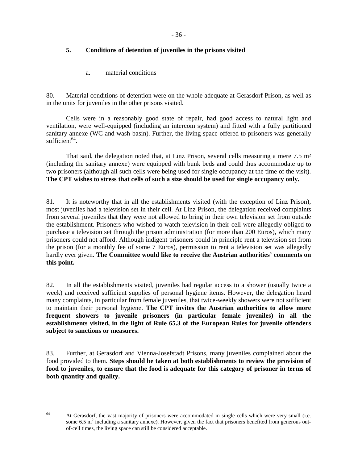## **5. Conditions of detention of juveniles in the prisons visited**

a. material conditions

80. Material conditions of detention were on the whole adequate at Gerasdorf Prison, as well as in the units for juveniles in the other prisons visited.

 Cells were in a reasonably good state of repair, had good access to natural light and ventilation, were well-equipped (including an intercom system) and fitted with a fully partitioned sanitary annexe (WC and wash-basin). Further, the living space offered to prisoners was generally sufficient $^{64}$ .

That said, the delegation noted that, at Linz Prison, several cells measuring a mere 7.5 m<sup>2</sup> (including the sanitary annexe) were equipped with bunk beds and could thus accommodate up to two prisoners (although all such cells were being used for single occupancy at the time of the visit). **The CPT wishes to stress that cells of such a size should be used for single occupancy only.** 

81. It is noteworthy that in all the establishments visited (with the exception of Linz Prison), most juveniles had a television set in their cell. At Linz Prison, the delegation received complaints from several juveniles that they were not allowed to bring in their own television set from outside the establishment. Prisoners who wished to watch television in their cell were allegedly obliged to purchase a television set through the prison administration (for more than 200 Euros), which many prisoners could not afford. Although indigent prisoners could in principle rent a television set from the prison (for a monthly fee of some 7 Euros), permission to rent a television set was allegedly hardly ever given. **The Committee would like to receive the Austrian authorities' comments on this point.**

82. In all the establishments visited, juveniles had regular access to a shower (usually twice a week) and received sufficient supplies of personal hygiene items. However, the delegation heard many complaints, in particular from female juveniles, that twice-weekly showers were not sufficient to maintain their personal hygiene. **The CPT invites the Austrian authorities to allow more frequent showers to juvenile prisoners (in particular female juveniles) in all the establishments visited, in the light of Rule 65.3 of the European Rules for juvenile offenders subject to sanctions or measures.** 

83. Further, at Gerasdorf and Vienna-Josefstadt Prisons, many juveniles complained about the food provided to them. **Steps should be taken at both establishments to review the provision of food to juveniles, to ensure that the food is adequate for this category of prisoner in terms of both quantity and quality.**

<sup>64</sup> 

<sup>64</sup> At Gerasdorf, the vast majority of prisoners were accommodated in single cells which were very small (i.e. some  $6.5$  m<sup>2</sup> including a sanitary annexe). However, given the fact that prisoners benefited from generous outof-cell times, the living space can still be considered acceptable.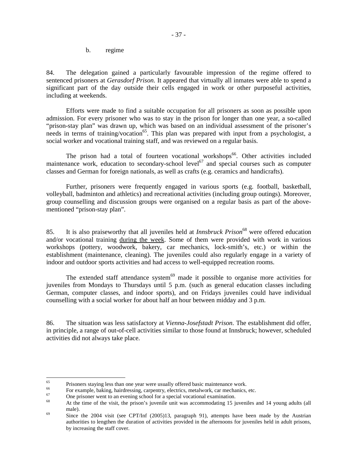b. regime

84. The delegation gained a particularly favourable impression of the regime offered to sentenced prisoners at *Gerasdorf Prison*. It appeared that virtually all inmates were able to spend a significant part of the day outside their cells engaged in work or other purposeful activities, including at weekends.

 Efforts were made to find a suitable occupation for all prisoners as soon as possible upon admission. For every prisoner who was to stay in the prison for longer than one year, a so-called "prison-stay plan" was drawn up, which was based on an individual assessment of the prisoner's needs in terms of training/vocation<sup>65</sup>. This plan was prepared with input from a psychologist, a social worker and vocational training staff, and was reviewed on a regular basis.

The prison had a total of fourteen vocational workshops<sup>66</sup>. Other activities included maintenance work, education to secondary-school level $67$  and special courses such as computer classes and German for foreign nationals, as well as crafts (e.g. ceramics and handicrafts).

 Further, prisoners were frequently engaged in various sports (e.g. football, basketball, volleyball, badminton and athletics) and recreational activities (including group outings). Moreover, group counselling and discussion groups were organised on a regular basis as part of the abovementioned "prison-stay plan".

85. It is also praiseworthy that all juveniles held at *Innsbruck Prison*<sup>68</sup> were offered education and/or vocational training during the week. Some of them were provided with work in various workshops (pottery, woodwork, bakery, car mechanics, lock-smith's, etc.) or within the establishment (maintenance, cleaning). The juveniles could also regularly engage in a variety of indoor and outdoor sports activities and had access to well-equipped recreation rooms.

The extended staff attendance system $69$  made it possible to organise more activities for juveniles from Mondays to Thursdays until 5 p.m. (such as general education classes including German, computer classes, and indoor sports), and on Fridays juveniles could have individual counselling with a social worker for about half an hour between midday and 3 p.m.

86. The situation was less satisfactory at *Vienna-Josefstadt Prison*. The establishment did offer, in principle, a range of out-of-cell activities similar to those found at Innsbruck; however, scheduled activities did not always take place.

<sup>65</sup>  $^{65}$  Prisoners staying less than one year were usually offered basic maintenance work.

<sup>&</sup>lt;sup>66</sup> For example, baking, hairdressing, carpentry, electrics, metalwork, car mechanics, etc.

 $^{67}$  One prisoner went to an evening school for a special vocational examination.

<sup>68</sup> At the time of the visit, the prison's juvenile unit was accommodating 15 juveniles and 14 young adults (all male).

<sup>&</sup>lt;sup>69</sup> Since the 2004 visit (see CPT/Inf (2005)13, paragraph 91), attempts have been made by the Austrian authorities to lengthen the duration of activities provided in the afternoons for juveniles held in adult prisons, by increasing the staff cover.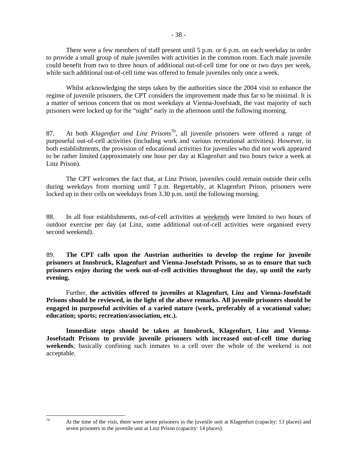There were a few members of staff present until 5 p.m. or 6 p.m. on each weekday in order to provide a small group of male juveniles with activities in the common room. Each male juvenile could benefit from two to three hours of additional out-of-cell time for one or two days per week, while such additional out-of-cell time was offered to female juveniles only once a week.

 Whilst acknowledging the steps taken by the authorities since the 2004 visit to enhance the regime of juvenile prisoners, the CPT considers the improvement made thus far to be minimal. It is a matter of serious concern that on most weekdays at Vienna-Josefstadt, the vast majority of such prisoners were locked up for the "night" early in the afternoon until the following morning.

87. At both *Klagenfurt and Linz Prisons*<sup>70</sup>, all juvenile prisoners were offered a range of purposeful out-of-cell activities (including work and various recreational activities). However, in both establishments, the provision of educational activities for juveniles who did not work appeared to be rather limited (approximately one hour per day at Klagenfurt and two hours twice a week at Linz Prison).

 The CPT welcomes the fact that, at Linz Prison, juveniles could remain outside their cells during weekdays from morning until 7 p.m. Regrettably, at Klagenfurt Prison, prisoners were locked up in their cells on weekdays from 3.30 p.m. until the following morning.

88. In all four establishments, out-of-cell activities at weekends were limited to two hours of outdoor exercise per day (at Linz, some additional out-of-cell activities were organised every second weekend).

89. **The CPT calls upon the Austrian authorities to develop the regime for juvenile prisoners at Innsbruck, Klagenfurt and Vienna-Josefstadt Prisons, so as to ensure that such prisoners enjoy during the week out-of-cell activities throughout the day, up until the early evening.** 

 Further, **the activities offered to juveniles at Klagenfurt, Linz and Vienna-Josefstadt Prisons should be reviewed, in the light of the above remarks. All juvenile prisoners should be engaged in purposeful activities of a varied nature (work, preferably of a vocational value; education; sports; recreation/association, etc.).**

**Immediate steps should be taken at Innsbruck, Klagenfurt, Linz and Vienna-Josefstadt Prisons to provide juvenile prisoners with increased out-of-cell time during weekends**; basically confining such inmates to a cell over the whole of the weekend is not acceptable.

70

<sup>70</sup> At the time of the visit, there were seven prisoners in the juvenile unit at Klagenfurt (capacity: 13 places) and seven prisoners in the juvenile unit at Linz Prison (capacity: 14 places).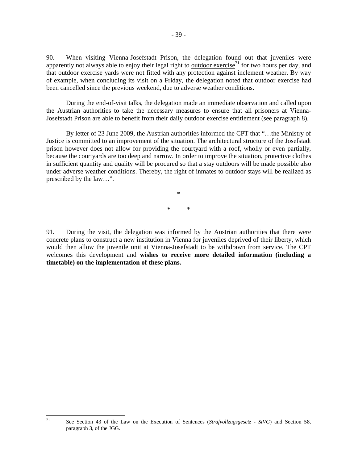90. When visiting Vienna-Josefstadt Prison, the delegation found out that juveniles were apparently not always able to enjoy their legal right to outdoor exercise<sup>71</sup> for two hours per day, and that outdoor exercise yards were not fitted with any protection against inclement weather. By way of example, when concluding its visit on a Friday, the delegation noted that outdoor exercise had been cancelled since the previous weekend, due to adverse weather conditions.

 During the end-of-visit talks, the delegation made an immediate observation and called upon the Austrian authorities to take the necessary measures to ensure that all prisoners at Vienna-Josefstadt Prison are able to benefit from their daily outdoor exercise entitlement (see paragraph 8).

 By letter of 23 June 2009, the Austrian authorities informed the CPT that "…the Ministry of Justice is committed to an improvement of the situation. The architectural structure of the Josefstadt prison however does not allow for providing the courtyard with a roof, wholly or even partially, because the courtyards are too deep and narrow. In order to improve the situation, protective clothes in sufficient quantity and quality will be procured so that a stay outdoors will be made possible also under adverse weather conditions. Thereby, the right of inmates to outdoor stays will be realized as prescribed by the law…".

> \* \* \*

91. During the visit, the delegation was informed by the Austrian authorities that there were concrete plans to construct a new institution in Vienna for juveniles deprived of their liberty, which would then allow the juvenile unit at Vienna-Josefstadt to be withdrawn from service. The CPT welcomes this development and **wishes to receive more detailed information (including a timetable) on the implementation of these plans.**

 $71$ <sup>71</sup> See Section 43 of the Law on the Execution of Sentences (*Strafvollzugsgesetz* - *StVG*) and Section 58, paragraph 3, of the JGG.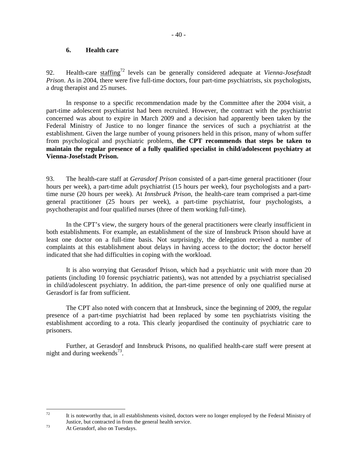## **6. Health care**

92. Health-care staffing<sup>72</sup> levels can be generally considered adequate at *Vienna-Josefstadt Prison*. As in 2004, there were five full-time doctors, four part-time psychiatrists, six psychologists, a drug therapist and 25 nurses.

 In response to a specific recommendation made by the Committee after the 2004 visit, a part-time adolescent psychiatrist had been recruited. However, the contract with the psychiatrist concerned was about to expire in March 2009 and a decision had apparently been taken by the Federal Ministry of Justice to no longer finance the services of such a psychiatrist at the establishment. Given the large number of young prisoners held in this prison, many of whom suffer from psychological and psychiatric problems, **the CPT recommends that steps be taken to maintain the regular presence of a fully qualified specialist in child/adolescent psychiatry at Vienna-Josefstadt Prison.** 

93. The health-care staff at *Gerasdorf Prison* consisted of a part-time general practitioner (four hours per week), a part-time adult psychiatrist (15 hours per week), four psychologists and a parttime nurse (20 hours per week). At *Innsbruck Prison*, the health-care team comprised a part-time general practitioner (25 hours per week), a part-time psychiatrist, four psychologists, a psychotherapist and four qualified nurses (three of them working full-time).

 In the CPT's view, the surgery hours of the general practitioners were clearly insufficient in both establishments. For example, an establishment of the size of Innsbruck Prison should have at least one doctor on a full-time basis. Not surprisingly, the delegation received a number of complaints at this establishment about delays in having access to the doctor; the doctor herself indicated that she had difficulties in coping with the workload.

 It is also worrying that Gerasdorf Prison, which had a psychiatric unit with more than 20 patients (including 10 forensic psychiatric patients), was not attended by a psychiatrist specialised in child/adolescent psychiatry. In addition, the part-time presence of only one qualified nurse at Gerasdorf is far from sufficient.

 The CPT also noted with concern that at Innsbruck, since the beginning of 2009, the regular presence of a part-time psychiatrist had been replaced by some ten psychiatrists visiting the establishment according to a rota. This clearly jeopardised the continuity of psychiatric care to prisoners.

 Further, at Gerasdorf and Innsbruck Prisons, no qualified health-care staff were present at night and during weekends<sup>73</sup>.

<sup>72</sup> <sup>72</sup> It is noteworthy that, in all establishments visited, doctors were no longer employed by the Federal Ministry of Justice, but contracted in from the general health service.

<sup>73</sup> At Gerasdorf, also on Tuesdays.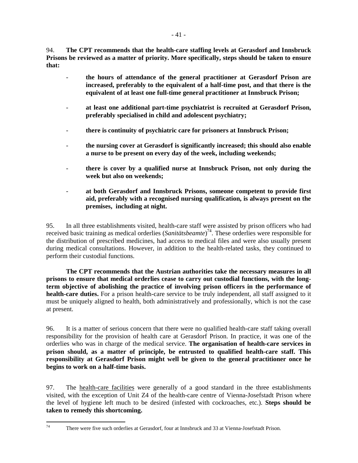94. **The CPT recommends that the health-care staffing levels at Gerasdorf and Innsbruck Prisons be reviewed as a matter of priority. More specifically, steps should be taken to ensure that:** 

- **the hours of attendance of the general practitioner at Gerasdorf Prison are increased, preferably to the equivalent of a half-time post, and that there is the equivalent of at least one full-time general practitioner at Innsbruck Prison;**
- **at least one additional part-time psychiatrist is recruited at Gerasdorf Prison, preferably specialised in child and adolescent psychiatry;**
- **there is continuity of psychiatric care for prisoners at Innsbruck Prison;**
- **the nursing cover at Gerasdorf is significantly increased; this should also enable a nurse to be present on every day of the week, including weekends;**
- **there is cover by a qualified nurse at Innsbruck Prison, not only during the week but also on weekends;**
- **at both Gerasdorf and Innsbruck Prisons, someone competent to provide first aid, preferably with a recognised nursing qualification, is always present on the premises, including at night.**

95. In all three establishments visited, health-care staff were assisted by prison officers who had received basic training as medical orderlies (*Sanitätsbeamte*) <sup>74</sup>. These orderlies were responsible for the distribution of prescribed medicines, had access to medical files and were also usually present during medical consultations. However, in addition to the health-related tasks, they continued to perform their custodial functions.

 **The CPT recommends that the Austrian authorities take the necessary measures in all prisons to ensure that medical orderlies cease to carry out custodial functions, with the longterm objective of abolishing the practice of involving prison officers in the performance of health-care duties.** For a prison health-care service to be truly independent, all staff assigned to it must be uniquely aligned to health, both administratively and professionally, which is not the case at present.

96. It is a matter of serious concern that there were no qualified health-care staff taking overall responsibility for the provision of health care at Gerasdorf Prison. In practice, it was one of the orderlies who was in charge of the medical service. **The organisation of health-care services in prison should, as a matter of principle, be entrusted to qualified health-care staff. This responsibility at Gerasdorf Prison might well be given to the general practitioner once he begins to work on a half-time basis.** 

97. The <u>health-care facilities</u> were generally of a good standard in the three establishments visited, with the exception of Unit Z4 of the health-care centre of Vienna-Josefstadt Prison where the level of hygiene left much to be desired (infested with cockroaches, etc.). **Steps should be taken to remedy this shortcoming.**

74

There were five such orderlies at Gerasdorf, four at Innsbruck and 33 at Vienna-Josefstadt Prison.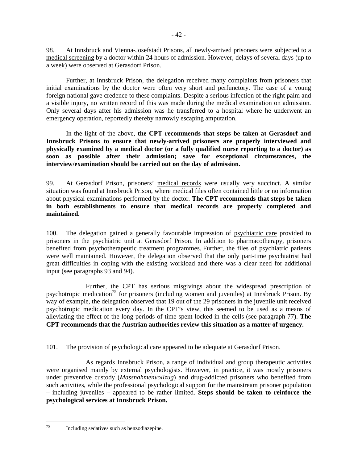98. At Innsbruck and Vienna-Josefstadt Prisons, all newly-arrived prisoners were subjected to a medical screening by a doctor within 24 hours of admission. However, delays of several days (up to a week) were observed at Gerasdorf Prison.

 Further, at Innsbruck Prison, the delegation received many complaints from prisoners that initial examinations by the doctor were often very short and perfunctory. The case of a young foreign national gave credence to these complaints. Despite a serious infection of the right palm and a visible injury, no written record of this was made during the medical examination on admission. Only several days after his admission was he transferred to a hospital where he underwent an emergency operation, reportedly thereby narrowly escaping amputation.

 In the light of the above, **the CPT recommends that steps be taken at Gerasdorf and Innsbruck Prisons to ensure that newly-arrived prisoners are properly interviewed and physically examined by a medical doctor (or a fully qualified nurse reporting to a doctor) as soon as possible after their admission; save for exceptional circumstances, the interview/examination should be carried out on the day of admission.** 

99. At Gerasdorf Prison, prisoners' medical records were usually very succinct. A similar situation was found at Innsbruck Prison, where medical files often contained little or no information about physical examinations performed by the doctor. **The CPT recommends that steps be taken in both establishments to ensure that medical records are properly completed and maintained.** 

100. The delegation gained a generally favourable impression of psychiatric care provided to prisoners in the psychiatric unit at Gerasdorf Prison. In addition to pharmacotherapy, prisoners benefited from psychotherapeutic treatment programmes. Further, the files of psychiatric patients were well maintained. However, the delegation observed that the only part-time psychiatrist had great difficulties in coping with the existing workload and there was a clear need for additional input (see paragraphs 93 and 94).

 Further, the CPT has serious misgivings about the widespread prescription of psychotropic medication<sup>75</sup> for prisoners (including women and juveniles) at Innsbruck Prison. By way of example, the delegation observed that 19 out of the 29 prisoners in the juvenile unit received psychotropic medication every day. In the CPT's view, this seemed to be used as a means of alleviating the effect of the long periods of time spent locked in the cells (see paragraph 77). **The CPT recommends that the Austrian authorities review this situation as a matter of urgency.** 

101. The provision of psychological care appeared to be adequate at Gerasdorf Prison.

 As regards Innsbruck Prison, a range of individual and group therapeutic activities were organised mainly by external psychologists. However, in practice, it was mostly prisoners under preventive custody (*Massnahmenvollzug*) and drug-addicted prisoners who benefited from such activities, while the professional psychological support for the mainstream prisoner population – including juveniles – appeared to be rather limited. **Steps should be taken to reinforce the psychological services at Innsbruck Prison.** 

75

Including sedatives such as benzodiazepine.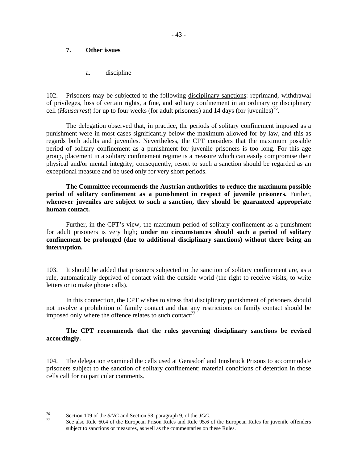## **7. Other issues**

a. discipline

102. Prisoners may be subjected to the following disciplinary sanctions: reprimand, withdrawal of privileges, loss of certain rights, a fine, and solitary confinement in an ordinary or disciplinary cell (*Hausarrest*) for up to four weeks (for adult prisoners) and 14 days (for juveniles)<sup>76</sup>.

 The delegation observed that, in practice, the periods of solitary confinement imposed as a punishment were in most cases significantly below the maximum allowed for by law, and this as regards both adults and juveniles. Nevertheless, the CPT considers that the maximum possible period of solitary confinement as a punishment for juvenile prisoners is too long. For this age group, placement in a solitary confinement regime is a measure which can easily compromise their physical and/or mental integrity; consequently, resort to such a sanction should be regarded as an exceptional measure and be used only for very short periods.

 **The Committee recommends the Austrian authorities to reduce the maximum possible period of solitary confinement as a punishment in respect of juvenile prisoners.** Further, **whenever juveniles are subject to such a sanction, they should be guaranteed appropriate human contact.**

 Further, in the CPT's view, the maximum period of solitary confinement as a punishment for adult prisoners is very high; **under no circumstances should such a period of solitary confinement be prolonged (due to additional disciplinary sanctions) without there being an interruption.**

103. It should be added that prisoners subjected to the sanction of solitary confinement are, as a rule, automatically deprived of contact with the outside world (the right to receive visits, to write letters or to make phone calls).

 In this connection, the CPT wishes to stress that disciplinary punishment of prisoners should not involve a prohibition of family contact and that any restrictions on family contact should be imposed only where the offence relates to such contact<sup>77</sup>.

# **The CPT recommends that the rules governing disciplinary sanctions be revised accordingly.**

104. The delegation examined the cells used at Gerasdorf and Innsbruck Prisons to accommodate prisoners subject to the sanction of solitary confinement; material conditions of detention in those cells call for no particular comments.

<sup>76</sup> <sup>76</sup> Section 109 of the *StVG* and Section 58, paragraph 9, of the *JGG*.

See also Rule 60.4 of the European Prison Rules and Rule 95.6 of the European Rules for juvenile offenders subject to sanctions or measures, as well as the commentaries on these Rules.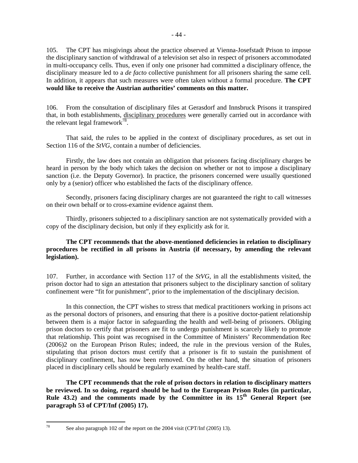105. The CPT has misgivings about the practice observed at Vienna-Josefstadt Prison to impose the disciplinary sanction of withdrawal of a television set also in respect of prisoners accommodated in multi-occupancy cells. Thus, even if only one prisoner had committed a disciplinary offence, the disciplinary measure led to a *de facto* collective punishment for all prisoners sharing the same cell. In addition, it appears that such measures were often taken without a formal procedure. **The CPT would like to receive the Austrian authorities' comments on this matter.** 

106. From the consultation of disciplinary files at Gerasdorf and Innsbruck Prisons it transpired that, in both establishments, disciplinary procedures were generally carried out in accordance with the relevant legal framework $^{\overline{78}}$ .

 That said, the rules to be applied in the context of disciplinary procedures, as set out in Section 116 of the *StVG*, contain a number of deficiencies.

 Firstly, the law does not contain an obligation that prisoners facing disciplinary charges be heard in person by the body which takes the decision on whether or not to impose a disciplinary sanction (i.e. the Deputy Governor). In practice, the prisoners concerned were usually questioned only by a (senior) officer who established the facts of the disciplinary offence.

 Secondly, prisoners facing disciplinary charges are not guaranteed the right to call witnesses on their own behalf or to cross-examine evidence against them.

 Thirdly, prisoners subjected to a disciplinary sanction are not systematically provided with a copy of the disciplinary decision, but only if they explicitly ask for it.

# **The CPT recommends that the above-mentioned deficiencies in relation to disciplinary procedures be rectified in all prisons in Austria (if necessary, by amending the relevant legislation).**

107. Further, in accordance with Section 117 of the *StVG*, in all the establishments visited, the prison doctor had to sign an attestation that prisoners subject to the disciplinary sanction of solitary confinement were "fit for punishment", prior to the implementation of the disciplinary decision.

 In this connection, the CPT wishes to stress that medical practitioners working in prisons act as the personal doctors of prisoners, and ensuring that there is a positive doctor-patient relationship between them is a major factor in safeguarding the health and well-being of prisoners. Obliging prison doctors to certify that prisoners are fit to undergo punishment is scarcely likely to promote that relationship. This point was recognised in the Committee of Ministers' Recommendation Rec (2006)2 on the European Prison Rules; indeed, the rule in the previous version of the Rules, stipulating that prison doctors must certify that a prisoner is fit to sustain the punishment of disciplinary confinement, has now been removed. On the other hand, the situation of prisoners placed in disciplinary cells should be regularly examined by health-care staff.

**The CPT recommends that the role of prison doctors in relation to disciplinary matters be reviewed. In so doing, regard should be had to the European Prison Rules (in particular, Rule 43.2) and the comments made by the Committee in its 15th General Report (see paragraph 53 of CPT/Inf (2005) 17).** 

78

See also paragraph 102 of the report on the 2004 visit (CPT/Inf (2005) 13).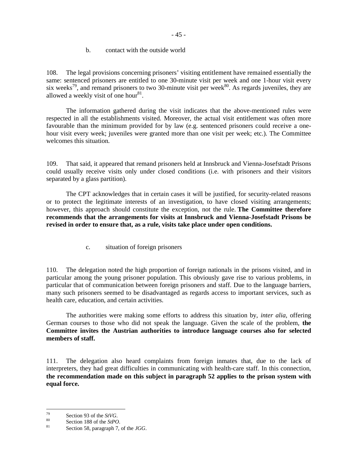b. contact with the outside world

108. The legal provisions concerning prisoners' visiting entitlement have remained essentially the same: sentenced prisoners are entitled to one 30-minute visit per week and one 1-hour visit every six weeks<sup>79</sup>, and remand prisoners to two 30-minute visit per week<sup>80</sup>. As regards juveniles, they are allowed a weekly visit of one hour<sup>81</sup>.

 The information gathered during the visit indicates that the above-mentioned rules were respected in all the establishments visited. Moreover, the actual visit entitlement was often more favourable than the minimum provided for by law (e.g. sentenced prisoners could receive a onehour visit every week; juveniles were granted more than one visit per week; etc.). The Committee welcomes this situation.

109. That said, it appeared that remand prisoners held at Innsbruck and Vienna-Josefstadt Prisons could usually receive visits only under closed conditions (i.e. with prisoners and their visitors separated by a glass partition).

 The CPT acknowledges that in certain cases it will be justified, for security-related reasons or to protect the legitimate interests of an investigation, to have closed visiting arrangements; however, this approach should constitute the exception, not the rule. **The Committee therefore recommends that the arrangements for visits at Innsbruck and Vienna-Josefstadt Prisons be revised in order to ensure that, as a rule, visits take place under open conditions.**

c. situation of foreign prisoners

110. The delegation noted the high proportion of foreign nationals in the prisons visited, and in particular among the young prisoner population. This obviously gave rise to various problems, in particular that of communication between foreign prisoners and staff. Due to the language barriers, many such prisoners seemed to be disadvantaged as regards access to important services, such as health care, education, and certain activities.

 The authorities were making some efforts to address this situation by, *inter alia*, offering German courses to those who did not speak the language. Given the scale of the problem, **the Committee invites the Austrian authorities to introduce language courses also for selected members of staff.**

111. The delegation also heard complaints from foreign inmates that, due to the lack of interpreters, they had great difficulties in communicating with health-care staff. In this connection, **the recommendation made on this subject in paragraph 52 applies to the prison system with equal force.** 

<sup>79</sup>  $^{79}$  Section 93 of the *StVG*.

 $\frac{80}{81}$  Section 188 of the *StPO*.

Section 58, paragraph 7, of the *JGG*.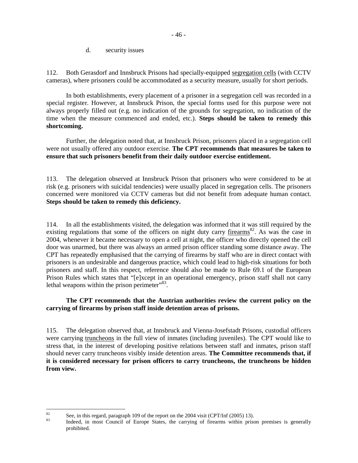d. security issues

112. Both Gerasdorf and Innsbruck Prisons had specially-equipped segregation cells (with CCTV cameras), where prisoners could be accommodated as a security measure, usually for short periods.

 In both establishments, every placement of a prisoner in a segregation cell was recorded in a special register. However, at Innsbruck Prison, the special forms used for this purpose were not always properly filled out (e.g. no indication of the grounds for segregation, no indication of the time when the measure commenced and ended, etc.). **Steps should be taken to remedy this shortcoming.** 

 Further, the delegation noted that, at Innsbruck Prison, prisoners placed in a segregation cell were not usually offered any outdoor exercise. **The CPT recommends that measures be taken to ensure that such prisoners benefit from their daily outdoor exercise entitlement.**

113. The delegation observed at Innsbruck Prison that prisoners who were considered to be at risk (e.g. prisoners with suicidal tendencies) were usually placed in segregation cells. The prisoners concerned were monitored via CCTV cameras but did not benefit from adequate human contact. **Steps should be taken to remedy this deficiency.**

114. In all the establishments visited, the delegation was informed that it was still required by the existing regulations that some of the officers on night duty carry firearms<sup>82</sup>. As was the case in 2004, whenever it became necessary to open a cell at night, the officer who directly opened the cell door was unarmed, but there was always an armed prison officer standing some distance away. The CPT has repeatedly emphasised that the carrying of firearms by staff who are in direct contact with prisoners is an undesirable and dangerous practice, which could lead to high-risk situations for both prisoners and staff. In this respect, reference should also be made to Rule 69.1 of the European Prison Rules which states that "[e]xcept in an operational emergency, prison staff shall not carry lethal weapons within the prison perimeter"<sup>83</sup>.

# **The CPT recommends that the Austrian authorities review the current policy on the carrying of firearms by prison staff inside detention areas of prisons.**

115. The delegation observed that, at Innsbruck and Vienna-Josefstadt Prisons, custodial officers were carrying truncheons in the full view of inmates (including juveniles). The CPT would like to stress that, in the interest of developing positive relations between staff and inmates, prison staff should never carry truncheons visibly inside detention areas. **The Committee recommends that, if it is considered necessary for prison officers to carry truncheons, the truncheons be hidden from view.** 

<sup>82</sup> <sup>82</sup> See, in this regard, paragraph 109 of the report on the 2004 visit (CPT/Inf (2005) 13).

Indeed, in most Council of Europe States, the carrying of firearms within prison premises is generally prohibited.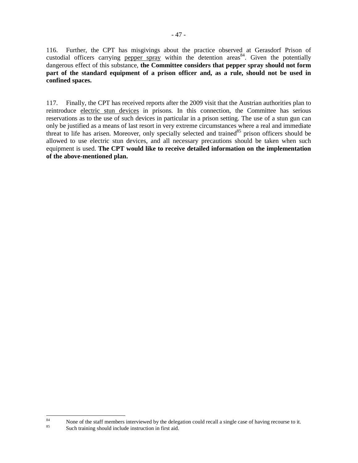116. Further, the CPT has misgivings about the practice observed at Gerasdorf Prison of custodial officers carrying pepper spray within the detention areas  $84$ . Given the potentially dangerous effect of this substance, **the Committee considers that pepper spray should not form part of the standard equipment of a prison officer and, as a rule, should not be used in confined spaces.**

117. Finally, the CPT has received reports after the 2009 visit that the Austrian authorities plan to reintroduce electric stun devices in prisons. In this connection, the Committee has serious reservations as to the use of such devices in particular in a prison setting. The use of a stun gun can only be justified as a means of last resort in very extreme circumstances where a real and immediate threat to life has arisen. Moreover, only specially selected and trained<sup>85</sup> prison officers should be allowed to use electric stun devices, and all necessary precautions should be taken when such equipment is used. **The CPT would like to receive detailed information on the implementation of the above-mentioned plan.** 

<sup>84</sup> 84<br>None of the staff members interviewed by the delegation could recall a single case of having recourse to it.

Such training should include instruction in first aid.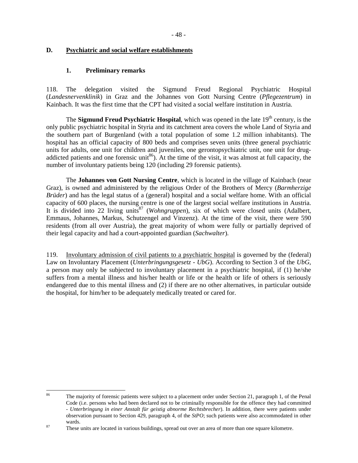# **D. Psychiatric and social welfare establishments**

# **1. Preliminary remarks**

118. The delegation visited the Sigmund Freud Regional Psychiatric Hospital (*Landesnervenklinik*) in Graz and the Johannes von Gott Nursing Centre (*Pflegezentrum*) in Kainbach. It was the first time that the CPT had visited a social welfare institution in Austria.

The **Sigmund Freud Psychiatric Hospital**, which was opened in the late 19<sup>th</sup> century, is the only public psychiatric hospital in Styria and its catchment area covers the whole Land of Styria and the southern part of Burgenland (with a total population of some 1.2 million inhabitants). The hospital has an official capacity of 800 beds and comprises seven units (three general psychiatric units for adults, one unit for children and juveniles, one gerontopsychiatric unit, one unit for drugaddicted patients and one forensic unit<sup>86</sup>). At the time of the visit, it was almost at full capacity, the number of involuntary patients being 120 (including 29 forensic patients).

 The **Johannes von Gott Nursing Centre**, which is located in the village of Kainbach (near Graz), is owned and administered by the religious Order of the Brothers of Mercy (*Barmherzige Brüder*) and has the legal status of a (general) hospital and a social welfare home. With an official capacity of 600 places, the nursing centre is one of the largest social welfare institutions in Austria. It is divided into 22 living units<sup>87</sup> (*Wohngruppen*), six of which were closed units (Adalbert, Emmaus, Johannes, Markus, Schutzengel and Vinzenz). At the time of the visit, there were 590 residents (from all over Austria), the great majority of whom were fully or partially deprived of their legal capacity and had a court-appointed guardian (*Sachwalter*).

119. Involuntary admission of civil patients to a psychiatric hospital is governed by the (federal) Law on Involuntary Placement (*Unterbringungsgesetz* - *UbG*). According to Section 3 of the *UbG*, a person may only be subjected to involuntary placement in a psychiatric hospital, if (1) he/she suffers from a mental illness and his/her health or life or the health or life of others is seriously endangered due to this mental illness and (2) if there are no other alternatives, in particular outside the hospital, for him/her to be adequately medically treated or cared for.

<sup>86</sup> <sup>86</sup> The majority of forensic patients were subject to a placement order under Section 21, paragraph 1, of the Penal Code (i.e. persons who had been declared not to be criminally responsible for the offence they had committed - *Unterbringung in einer Anstalt für geistig abnorme Rechtsbrecher*). In addition, there were patients under observation pursuant to Section 429, paragraph 4, of the *StPO*; such patients were also accommodated in other wards.

<sup>&</sup>lt;sup>87</sup> These units are located in various buildings, spread out over an area of more than one square kilometre.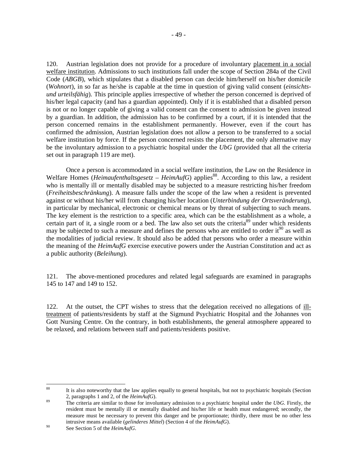120. Austrian legislation does not provide for a procedure of involuntary placement in a social welfare institution. Admissions to such institutions fall under the scope of Section 284a of the Civil Code (*ABGB*), which stipulates that a disabled person can decide him/herself on his/her domicile (*Wohnort*), in so far as he/she is capable at the time in question of giving valid consent (*einsichtsund urteilsfähig*). This principle applies irrespective of whether the person concerned is deprived of his/her legal capacity (and has a guardian appointed). Only if it is established that a disabled person is not or no longer capable of giving a valid consent can the consent to admission be given instead by a guardian. In addition, the admission has to be confirmed by a court, if it is intended that the person concerned remains in the establishment permanently. However, even if the court has confirmed the admission, Austrian legislation does not allow a person to be transferred to a social welfare institution by force. If the person concerned resists the placement, the only alternative may be the involuntary admission to a psychiatric hospital under the *UbG* (provided that all the criteria set out in paragraph 119 are met).

 Once a person is accommodated in a social welfare institution, the Law on the Residence in Welfare Homes (*Heimaufenthaltsgesetz* – *HeimAufG*) applies<sup>88</sup>. According to this law, a resident who is mentally ill or mentally disabled may be subjected to a measure restricting his/her freedom (*Freiheitsbeschränkung*). A measure falls under the scope of the law when a resident is prevented against or without his/her will from changing his/her location (*Unterbindung der Ortsveränderung*), in particular by mechanical, electronic or chemical means or by threat of subjecting to such means. The key element is the restriction to a specific area, which can be the establishment as a whole, a certain part of it, a single room or a bed. The law also set outs the criteria<sup>89</sup> under which residents may be subjected to such a measure and defines the persons who are entitled to order it<sup>90</sup> as well as the modalities of judicial review. It should also be added that persons who order a measure within the meaning of the *HeimAufG* exercise executive powers under the Austrian Constitution and act as a public authority (*Beleihung*).

121. The above-mentioned procedures and related legal safeguards are examined in paragraphs 145 to 147 and 149 to 152.

122. At the outset, the CPT wishes to stress that the delegation received no allegations of illtreatment of patients/residents by staff at the Sigmund Psychiatric Hospital and the Johannes von Gott Nursing Centre. On the contrary, in both establishments, the general atmosphere appeared to be relaxed, and relations between staff and patients/residents positive.

<sup>88</sup> It is also noteworthy that the law applies equally to general hospitals, but not to psychiatric hospitals (Section 2, paragraphs 1 and 2, of the *HeimAufG*).

<sup>&</sup>lt;sup>89</sup><br>The criteria are similar to those for involuntary admission to a psychiatric hospital under the *UbG*. Firstly, the resident must be mentally ill or mentally disabled and his/her life or health must endangered; secondly, the measure must be necessary to prevent this danger and be proportionate; thirdly, there must be no other less intrusive means available (*gelinderes Mittel*) (Section 4 of the *HeimAufG*).

<sup>90</sup> See Section 5 of the *HeimAufG*.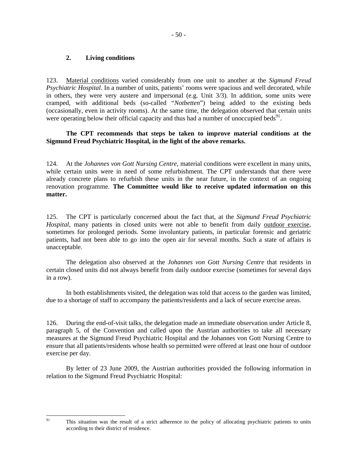# **2. Living conditions**

123. Material conditions varied considerably from one unit to another at the *Sigmund Freud Psychiatric Hospital*. In a number of units, patients' rooms were spacious and well decorated, while in others, they were very austere and impersonal (e.g. Unit 3/3). In addition, some units were cramped, with additional beds (so-called "*Notbetten*") being added to the existing beds (occasionally, even in activity rooms). At the same time, the delegation observed that certain units were operating below their official capacity and thus had a number of unoccupied beds<sup>91</sup>.

# **The CPT recommends that steps be taken to improve material conditions at the Sigmund Freud Psychiatric Hospital, in the light of the above remarks.**

124. At the *Johannes von Gott Nursing Centre*, material conditions were excellent in many units, while certain units were in need of some refurbishment. The CPT understands that there were already concrete plans to refurbish these units in the near future, in the context of an ongoing renovation programme. **The Committee would like to receive updated information on this matter.** 

125. The CPT is particularly concerned about the fact that, at the *Sigmund Freud Psychiatric Hospital*, many patients in closed units were not able to benefit from daily outdoor exercise, sometimes for prolonged periods. Some involuntary patients, in particular forensic and geriatric patients, had not been able to go into the open air for several months. Such a state of affairs is unacceptable.

 The delegation also observed at the *Johannes von Gott Nursing Centre* that residents in certain closed units did not always benefit from daily outdoor exercise (sometimes for several days in a row).

 In both establishments visited, the delegation was told that access to the garden was limited, due to a shortage of staff to accompany the patients/residents and a lack of secure exercise areas.

126. During the end-of-visit talks, the delegation made an immediate observation under Article 8, paragraph 5, of the Convention and called upon the Austrian authorities to take all necessary measures at the Sigmund Freud Psychiatric Hospital and the Johannes von Gott Nursing Centre to ensure that all patients/residents whose health so permitted were offered at least one hour of outdoor exercise per day.

 By letter of 23 June 2009, the Austrian authorities provided the following information in relation to the Sigmund Freud Psychiatric Hospital:

 $91$ 

This situation was the result of a strict adherence to the policy of allocating psychiatric patients to units according to their district of residence.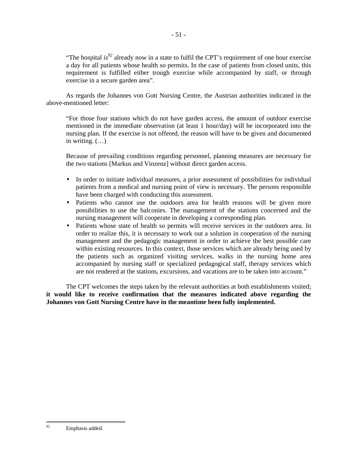"The hospital *is<sup>92</sup>* already now in a state to fulfil the CPT's requirement of one hour exercise a day for all patients whose health so permits. In the case of patients from closed units, this requirement is fulfilled either trough exercise while accompanied by staff, or through exercise in a secure garden area".

 As regards the Johannes von Gott Nursing Centre, the Austrian authorities indicated in the above-mentioned letter:

"For those four stations which do not have garden access, the amount of outdoor exercise mentioned in the immediate observation (at least 1 hour/day) will be incorporated into the nursing plan. If the exercise is not offered, the reason will have to be given and documented in writing.  $(\ldots)$ 

Because of prevailing conditions regarding personnel, planning measures are necessary for the two stations [Markus and Vinzenz] without direct garden access.

- In order to initiate individual measures, a prior assessment of possibilities for individual patients from a medical and nursing point of view is necessary. The persons responsible have been charged with conducting this assessment.
- Patients who cannot use the outdoors area for health reasons will be given more possibilities to use the balconies. The management of the stations concerned and the nursing management will cooperate in developing a corresponding plan.
- Patients whose state of health so permits will receive services in the outdoors area. In order to realize this, it is necessary to work out a solution in cooperation of the nursing management and the pedagogic management in order to achieve the best possible care within existing resources. In this context, those services which are already being used by the patients such as organized visiting services, walks in the nursing home area accompanied by nursing staff or specialized pedagogical staff, therapy services which are not rendered at the stations, excursions, and vacations are to be taken into account."

The CPT welcomes the steps taken by the relevant authorities at both establishments visited; **it would like to receive confirmation that the measures indicated above regarding the Johannes von Gott Nursing Centre have in the meantime been fully implemented.**

<sup>92</sup> Emphasis added.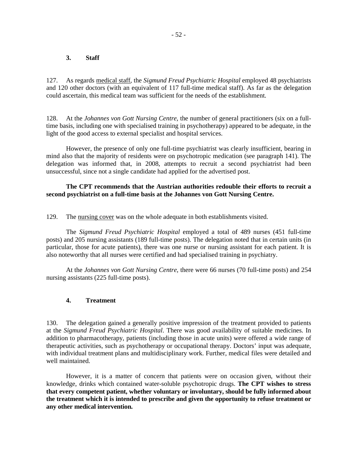## **3. Staff**

127. As regards medical staff, the *Sigmund Freud Psychiatric Hospital* employed 48 psychiatrists and 120 other doctors (with an equivalent of 117 full-time medical staff). As far as the delegation could ascertain, this medical team was sufficient for the needs of the establishment.

128. At the *Johannes von Gott Nursing Centre*, the number of general practitioners (six on a fulltime basis, including one with specialised training in psychotherapy) appeared to be adequate, in the light of the good access to external specialist and hospital services.

 However, the presence of only one full-time psychiatrist was clearly insufficient, bearing in mind also that the majority of residents were on psychotropic medication (see paragraph 141). The delegation was informed that, in 2008, attempts to recruit a second psychiatrist had been unsuccessful, since not a single candidate had applied for the advertised post.

# **The CPT recommends that the Austrian authorities redouble their efforts to recruit a second psychiatrist on a full-time basis at the Johannes von Gott Nursing Centre.**

129. The nursing cover was on the whole adequate in both establishments visited.

 The *Sigmund Freud Psychiatric Hospital* employed a total of 489 nurses (451 full-time posts) and 205 nursing assistants (189 full-time posts). The delegation noted that in certain units (in particular, those for acute patients), there was one nurse or nursing assistant for each patient. It is also noteworthy that all nurses were certified and had specialised training in psychiatry.

 At the *Johannes von Gott Nursing Centre*, there were 66 nurses (70 full-time posts) and 254 nursing assistants (225 full-time posts).

## **4. Treatment**

130. The delegation gained a generally positive impression of the treatment provided to patients at the *Sigmund Freud Psychiatric Hospital*. There was good availability of suitable medicines. In addition to pharmacotherapy, patients (including those in acute units) were offered a wide range of therapeutic activities, such as psychotherapy or occupational therapy. Doctors' input was adequate, with individual treatment plans and multidisciplinary work. Further, medical files were detailed and well maintained.

 However, it is a matter of concern that patients were on occasion given, without their knowledge, drinks which contained water-soluble psychotropic drugs. **The CPT wishes to stress that every competent patient, whether voluntary or involuntary, should be fully informed about the treatment which it is intended to prescribe and given the opportunity to refuse treatment or any other medical intervention.**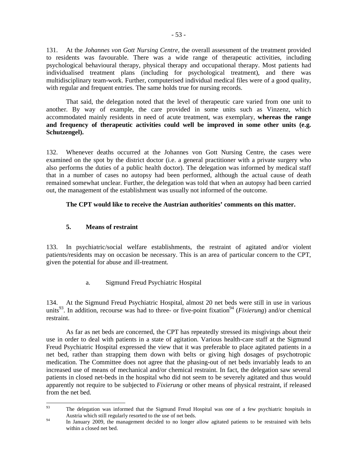131. At the *Johannes von Gott Nursing Centre*, the overall assessment of the treatment provided to residents was favourable. There was a wide range of therapeutic activities, including psychological behavioural therapy, physical therapy and occupational therapy. Most patients had individualised treatment plans (including for psychological treatment), and there was multidisciplinary team-work. Further, computerised individual medical files were of a good quality, with regular and frequent entries. The same holds true for nursing records.

 That said, the delegation noted that the level of therapeutic care varied from one unit to another. By way of example, the care provided in some units such as Vinzenz, which accommodated mainly residents in need of acute treatment, was exemplary, **whereas the range and frequency of therapeutic activities could well be improved in some other units (e.g. Schutzengel).**

132. Whenever deaths occurred at the Johannes von Gott Nursing Centre, the cases were examined on the spot by the district doctor (i.e. a general practitioner with a private surgery who also performs the duties of a public health doctor). The delegation was informed by medical staff that in a number of cases no autopsy had been performed, although the actual cause of death remained somewhat unclear. Further, the delegation was told that when an autopsy had been carried out, the management of the establishment was usually not informed of the outcome.

# **The CPT would like to receive the Austrian authorities' comments on this matter.**

# **5. Means of restraint**

133. In psychiatric/social welfare establishments, the restraint of agitated and/or violent patients/residents may on occasion be necessary. This is an area of particular concern to the CPT, given the potential for abuse and ill-treatment.

a. Sigmund Freud Psychiatric Hospital

134. At the Sigmund Freud Psychiatric Hospital, almost 20 net beds were still in use in various units<sup>93</sup>. In addition, recourse was had to three- or five-point fixation<sup>94</sup> (*Fixierung*) and/or chemical restraint.

 As far as net beds are concerned, the CPT has repeatedly stressed its misgivings about their use in order to deal with patients in a state of agitation. Various health-care staff at the Sigmund Freud Psychiatric Hospital expressed the view that it was preferable to place agitated patients in a net bed, rather than strapping them down with belts or giving high dosages of psychotropic medication. The Committee does not agree that the phasing-out of net beds invariably leads to an increased use of means of mechanical and/or chemical restraint. In fact, the delegation saw several patients in closed net-beds in the hospital who did not seem to be severely agitated and thus would apparently not require to be subjected to *Fixierung* or other means of physical restraint, if released from the net bed.

<sup>93</sup> <sup>93</sup> The delegation was informed that the Sigmund Freud Hospital was one of a few psychiatric hospitals in Austria which still regularly resorted to the use of net beds.

<sup>&</sup>lt;sup>94</sup> In January 2009, the management decided to no longer allow agitated patients to be restrained with belts within a closed net bed.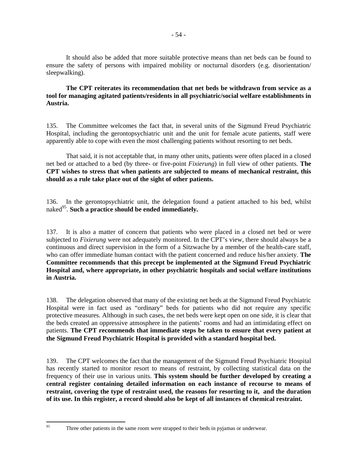It should also be added that more suitable protective means than net beds can be found to ensure the safety of persons with impaired mobility or nocturnal disorders (e.g. disorientation/ sleepwalking).

**The CPT reiterates its recommendation that net beds be withdrawn from service as a tool for managing agitated patients/residents in all psychiatric/social welfare establishments in Austria.**

135. The Committee welcomes the fact that, in several units of the Sigmund Freud Psychiatric Hospital, including the gerontopsychiatric unit and the unit for female acute patients, staff were apparently able to cope with even the most challenging patients without resorting to net beds.

 That said, it is not acceptable that, in many other units, patients were often placed in a closed net bed or attached to a bed (by three- or five-point *Fixierung*) in full view of other patients. **The CPT wishes to stress that when patients are subjected to means of mechanical restraint, this should as a rule take place out of the sight of other patients.**

136. In the gerontopsychiatric unit, the delegation found a patient attached to his bed, whilst naked<sup>95</sup>. Such a practice should be ended immediately.

137. It is also a matter of concern that patients who were placed in a closed net bed or were subjected to *Fixierung* were not adequately monitored. In the CPT's view, there should always be a continuous and direct supervision in the form of a Sitzwache by a member of the health-care staff, who can offer immediate human contact with the patient concerned and reduce his/her anxiety. **The Committee recommends that this precept be implemented at the Sigmund Freud Psychiatric Hospital and, where appropriate, in other psychiatric hospitals and social welfare institutions in Austria.** 

138. The delegation observed that many of the existing net beds at the Sigmund Freud Psychiatric Hospital were in fact used as "ordinary" beds for patients who did not require any specific protective measures. Although in such cases, the net beds were kept open on one side, it is clear that the beds created an oppressive atmosphere in the patients' rooms and had an intimidating effect on patients. **The CPT recommends that immediate steps be taken to ensure that every patient at the Sigmund Freud Psychiatric Hospital is provided with a standard hospital bed.**

139. The CPT welcomes the fact that the management of the Sigmund Freud Psychiatric Hospital has recently started to monitor resort to means of restraint, by collecting statistical data on the frequency of their use in various units. **This system should be further developed by creating a central register containing detailed information on each instance of recourse to means of restraint, covering the type of restraint used, the reasons for resorting to it, and the duration of its use. In this register, a record should also be kept of all instances of chemical restraint.** 

95

- 54 -

Three other patients in the same room were strapped to their beds in pyjamas or underwear.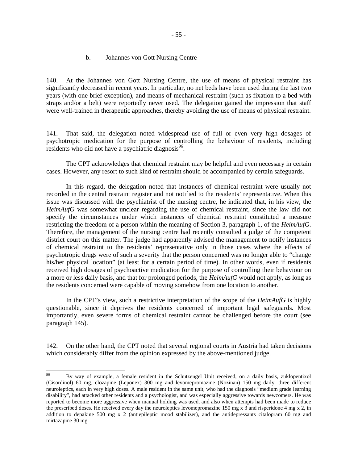# b. Johannes von Gott Nursing Centre

140. At the Johannes von Gott Nursing Centre, the use of means of physical restraint has significantly decreased in recent years. In particular, no net beds have been used during the last two years (with one brief exception), and means of mechanical restraint (such as fixation to a bed with straps and/or a belt) were reportedly never used. The delegation gained the impression that staff were well-trained in therapeutic approaches, thereby avoiding the use of means of physical restraint.

141. That said, the delegation noted widespread use of full or even very high dosages of psychotropic medication for the purpose of controlling the behaviour of residents, including residents who did not have a psychiatric diagnosis<sup>96</sup>.

 The CPT acknowledges that chemical restraint may be helpful and even necessary in certain cases. However, any resort to such kind of restraint should be accompanied by certain safeguards.

 In this regard, the delegation noted that instances of chemical restraint were usually not recorded in the central restraint register and not notified to the residents' representative. When this issue was discussed with the psychiatrist of the nursing centre, he indicated that, in his view, the *HeimAufG* was somewhat unclear regarding the use of chemical restraint, since the law did not specify the circumstances under which instances of chemical restraint constituted a measure restricting the freedom of a person within the meaning of Section 3, paragraph 1, of the *HeimAufG*. Therefore, the management of the nursing centre had recently consulted a judge of the competent district court on this matter. The judge had apparently advised the management to notify instances of chemical restraint to the residents' representative only in those cases where the effects of psychotropic drugs were of such a severity that the person concerned was no longer able to "change his/her physical location" (at least for a certain period of time). In other words, even if residents received high dosages of psychoactive medication for the purpose of controlling their behaviour on a more or less daily basis, and that for prolonged periods, the *HeimAufG* would not apply, as long as the residents concerned were capable of moving somehow from one location to another.

 In the CPT's view, such a restrictive interpretation of the scope of the *HeimAufG* is highly questionable, since it deprives the residents concerned of important legal safeguards. Most importantly, even severe forms of chemical restraint cannot be challenged before the court (see paragraph 145).

142. On the other hand, the CPT noted that several regional courts in Austria had taken decisions which considerably differ from the opinion expressed by the above-mentioned judge.

<sup>96</sup> <sup>96</sup> By way of example, a female resident in the Schutzengel Unit received, on a daily basis, zuklopentixol (Cisordinol) 60 mg, clozapine (Leponex) 300 mg and levomepromazine (Nozinan) 150 mg daily, three different neuroleptics, each in very high doses. A male resident in the same unit, who had the diagnosis "medium grade learning disability", had attacked other residents and a psychologist, and was especially aggressive towards newcomers. He was reported to become more aggressive when manual holding was used, and also when attempts had been made to reduce the prescribed doses. He received every day the neuroleptics levomepromazine 150 mg x 3 and risperidone 4 mg x 2, in addition to depakine 500 mg x 2 (antiepileptic mood stabilizer), and the antidepressants citalopram 60 mg and mirtazapine 30 mg.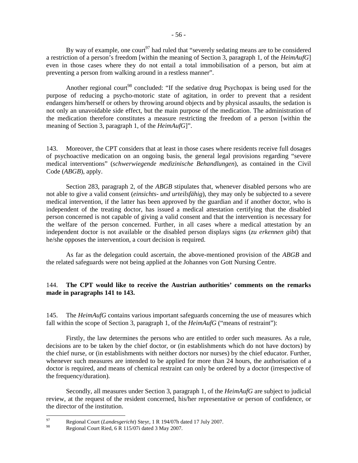By way of example, one court<sup>97</sup> had ruled that "severely sedating means are to be considered a restriction of a person's freedom [within the meaning of Section 3, paragraph 1, of the *HeimAufG*] even in those cases where they do not entail a total immobilisation of a person, but aim at preventing a person from walking around in a restless manner".

Another regional court<sup>98</sup> concluded: "If the sedative drug Psychopax is being used for the purpose of reducing a psycho-motoric state of agitation, in order to prevent that a resident endangers him/herself or others by throwing around objects and by physical assaults, the sedation is not only an unavoidable side effect, but the main purpose of the medication. The administration of the medication therefore constitutes a measure restricting the freedom of a person [within the meaning of Section 3, paragraph 1, of the *HeimAufG*]".

143. Moreover, the CPT considers that at least in those cases where residents receive full dosages of psychoactive medication on an ongoing basis, the general legal provisions regarding "severe medical interventions" (*schwerwiegende medizinische Behandlungen*), as contained in the Civil Code (*ABGB*), apply.

 Section 283, paragraph 2, of the *ABGB* stipulates that, whenever disabled persons who are not able to give a valid consent (*einsichts- und urteilsfähig*), they may only be subjected to a severe medical intervention, if the latter has been approved by the guardian and if another doctor, who is independent of the treating doctor, has issued a medical attestation certifying that the disabled person concerned is not capable of giving a valid consent and that the intervention is necessary for the welfare of the person concerned. Further, in all cases where a medical attestation by an independent doctor is not available or the disabled person displays signs (*zu erkennen gibt*) that he/she opposes the intervention, a court decision is required.

 As far as the delegation could ascertain, the above-mentioned provision of the *ABGB* and the related safeguards were not being applied at the Johannes von Gott Nursing Centre.

# 144. **The CPT would like to receive the Austrian authorities' comments on the remarks made in paragraphs 141 to 143.**

145. The *HeimAufG* contains various important safeguards concerning the use of measures which fall within the scope of Section 3, paragraph 1, of the *HeimAufG* ("means of restraint"):

 Firstly, the law determines the persons who are entitled to order such measures. As a rule, decisions are to be taken by the chief doctor, or (in establishments which do not have doctors) by the chief nurse, or (in establishments with neither doctors nor nurses) by the chief educator. Further, whenever such measures are intended to be applied for more than 24 hours, the authorisation of a doctor is required, and means of chemical restraint can only be ordered by a doctor (irrespective of the frequency/duration).

 Secondly, all measures under Section 3, paragraph 1, of the *HeimAufG* are subject to judicial review, at the request of the resident concerned, his/her representative or person of confidence, or the director of the institution.

<sup>97</sup> <sup>97</sup> Regional Court (*Landesgericht*) Steyr, 1 R 194/07h dated 17 July 2007.

Regional Court Ried, 6 R 115/07i dated 3 May 2007.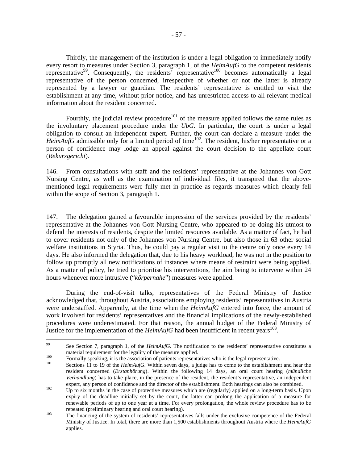Thirdly, the management of the institution is under a legal obligation to immediately notify every resort to measures under Section 3, paragraph 1, of the *HeimAufG* to the competent residents representative<sup>99</sup>. Consequently, the residents' representative<sup>100</sup> becomes automatically a legal representative of the person concerned, irrespective of whether or not the latter is already represented by a lawyer or guardian. The residents' representative is entitled to visit the establishment at any time, without prior notice, and has unrestricted access to all relevant medical information about the resident concerned.

Fourthly, the judicial review procedure<sup>101</sup> of the measure applied follows the same rules as the involuntary placement procedure under the *UbG*. In particular, the court is under a legal obligation to consult an independent expert. Further, the court can declare a measure under the *HeimAufG* admissible only for a limited period of time<sup>102</sup>. The resident, his/her representative or a person of confidence may lodge an appeal against the court decision to the appellate court (*Rekursgericht*).

146. From consultations with staff and the residents' representative at the Johannes von Gott Nursing Centre, as well as the examination of individual files, it transpired that the abovementioned legal requirements were fully met in practice as regards measures which clearly fell within the scope of Section 3, paragraph 1.

147. The delegation gained a favourable impression of the services provided by the residents' representative at the Johannes von Gott Nursing Centre, who appeared to be doing his utmost to defend the interests of residents, despite the limited resources available. As a matter of fact, he had to cover residents not only of the Johannes von Nursing Centre, but also those in 63 other social welfare institutions in Styria. Thus, he could pay a regular visit to the centre only once every 14 days. He also informed the delegation that, due to his heavy workload, he was not in the position to follow up promptly all new notifications of instances where means of restraint were being applied. As a matter of policy, he tried to prioritise his interventions, the aim being to intervene within 24 hours whenever more intrusive ("*körpernahe*") measures were applied.

 During the end-of-visit talks, representatives of the Federal Ministry of Justice acknowledged that, throughout Austria, associations employing residents' representatives in Austria were understaffed. Apparently, at the time when the *HeimAufG* entered into force, the amount of work involved for residents' representatives and the financial implications of the newly-established procedures were underestimated. For that reason, the annual budget of the Federal Ministry of Justice for the implementation of the  $HeimAu fG$  had been insufficient in recent years<sup>103</sup>.

<sup>99</sup> See Section 7, paragraph 1, of the *HeimAufG*. The notification to the residents' representative constitutes a material requirement for the legality of the measure applied.

<sup>100&</sup>lt;br>100 Formally speaking, it is the association of patients representatives who is the legal representative.

Sections 11 to 19 of the *HeimAufG*. Within seven days, a judge has to come to the establishment and hear the resident concerned (*Erstanhörung*). Within the following 14 days, an oral court hearing (*mündliche Verhandlung*) has to take place, in the presence of the resident, the resident's representative, an independent expert, any person of confidence and the director of the establishment. Both hearings can also be combined.

 $\frac{102}{102}$  Up to six months in the case of protective measures which are (regularly) applied on a long-term basis. Upon expiry of the deadline initially set by the court, the latter can prolong the application of a measure for renewable periods of up to one year at a time. For every prolongation, the whole review procedure has to be repeated (preliminary hearing and oral court hearing).

<sup>&</sup>lt;sup>103</sup> The financing of the system of residents' representatives falls under the exclusive competence of the Federal Ministry of Justice. In total, there are more than 1,500 establishments throughout Austria where the *HeimAufG* applies.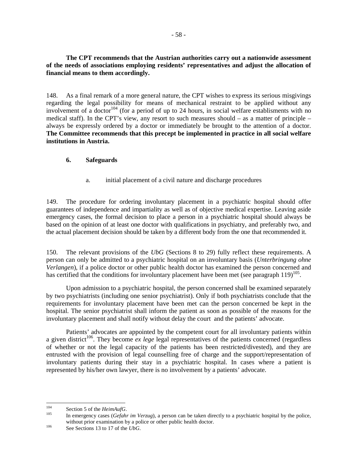**The CPT recommends that the Austrian authorities carry out a nationwide assessment of the needs of associations employing residents' representatives and adjust the allocation of financial means to them accordingly.**

148. As a final remark of a more general nature, the CPT wishes to express its serious misgivings regarding the legal possibility for means of mechanical restraint to be applied without any involvement of a doctor<sup>104</sup> (for a period of up to 24 hours, in social welfare establisments with no medical staff). In the CPT's view, any resort to such measures should – as a matter of principle – always be expressly ordered by a doctor or immediately be brought to the attention of a doctor. **The Committee recommends that this precept be implemented in practice in all social welfare institutions in Austria.** 

# **6. Safeguards**

a. initial placement of a civil nature and discharge procedures

149. The procedure for ordering involuntary placement in a psychiatric hospital should offer guarantees of independence and impartiality as well as of objective medical expertise. Leaving aside emergency cases, the formal decision to place a person in a psychiatric hospital should always be based on the opinion of at least one doctor with qualifications in psychiatry, and preferably two, and the actual placement decision should be taken by a different body from the one that recommended it.

150. The relevant provisions of the *UbG* (Sections 8 to 29) fully reflect these requirements. A person can only be admitted to a psychiatric hospital on an involuntary basis (*Unterbringung ohne Verlangen*), if a police doctor or other public health doctor has examined the person concerned and has certified that the conditions for involuntary placement have been met (see paragraph  $119)^{105}$ .

 Upon admission to a psychiatric hospital, the person concerned shall be examined separately by two psychiatrists (including one senior psychiatrist). Only if both psychiatrists conclude that the requirements for involuntary placement have been met can the person concerned be kept in the hospital. The senior psychiatrist shall inform the patient as soon as possible of the reasons for the involuntary placement and shall notify without delay the court and the patients' advocate.

 Patients' advocates are appointed by the competent court for all involuntary patients within a given district<sup>106</sup>. They become *ex lege* legal representatives of the patients concerned (regardless of whether or not the legal capacity of the patients has been restricted/divested), and they are entrusted with the provision of legal counselling free of charge and the support/representation of involuntary patients during their stay in a psychiatric hospital. In cases where a patient is represented by his/her own lawyer, there is no involvement by a patients' advocate.

<sup>104</sup> <sup>104</sup> Section 5 of the  $HeimAufG$ .

<sup>105</sup> In emergency cases (*Gefahr im Verzug*), a person can be taken directly to a psychiatric hospital by the police, without prior examination by a police or other public health doctor.

<sup>&</sup>lt;sup>106</sup> See Sections 13 to 17 of the  $UbG$ .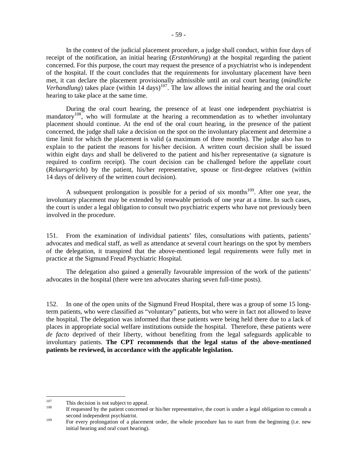In the context of the judicial placement procedure, a judge shall conduct, within four days of receipt of the notification, an initial hearing (*Erstanhörung*) at the hospital regarding the patient concerned. For this purpose, the court may request the presence of a psychiatrist who is independent of the hospital. If the court concludes that the requirements for involuntary placement have been met, it can declare the placement provisionally admissible until an oral court hearing (*mündliche Verhandlung*) takes place (within  $14 \text{ days}$ )<sup>107</sup>. The law allows the initial hearing and the oral court hearing to take place at the same time.

 During the oral court hearing, the presence of at least one independent psychiatrist is mandatory<sup>108</sup>, who will formulate at the hearing a recommendation as to whether involuntary placement should continue. At the end of the oral court hearing, in the presence of the patient concerned, the judge shall take a decision on the spot on the involuntary placement and determine a time limit for which the placement is valid (a maximum of three months). The judge also has to explain to the patient the reasons for his/her decision. A written court decision shall be issued within eight days and shall be delivered to the patient and his/her representative (a signature is required to confirm receipt). The court decision can be challenged before the appellate court (*Rekursgericht*) by the patient, his/her representative, spouse or first-degree relatives (within 14 days of delivery of the written court decision).

A subsequent prolongation is possible for a period of six months<sup>109</sup>. After one year, the involuntary placement may be extended by renewable periods of one year at a time. In such cases, the court is under a legal obligation to consult two psychiatric experts who have not previously been involved in the procedure.

151. From the examination of individual patients' files, consultations with patients, patients' advocates and medical staff, as well as attendance at several court hearings on the spot by members of the delegation, it transpired that the above-mentioned legal requirements were fully met in practice at the Sigmund Freud Psychiatric Hospital.

 The delegation also gained a generally favourable impression of the work of the patients' advocates in the hospital (there were ten advocates sharing seven full-time posts).

152. In one of the open units of the Sigmund Freud Hospital, there was a group of some 15 longterm patients, who were classified as "voluntary" patients, but who were in fact not allowed to leave the hospital. The delegation was informed that these patients were being held there due to a lack of places in appropriate social welfare institutions outside the hospital. Therefore, these patients were *de facto* deprived of their liberty, without benefiting from the legal safeguards applicable to involuntary patients. **The CPT recommends that the legal status of the above-mentioned patients be reviewed, in accordance with the applicable legislation.**

<sup>107</sup>  $107$  This decision is not subject to appeal.

If requested by the patient concerned or his/her representative, the court is under a legal obligation to consult a second independent psychiatrist.

<sup>&</sup>lt;sup>109</sup> For every prolongation of a placement order, the whole procedure has to start from the beginning (i.e. new initial hearing and oral court hearing).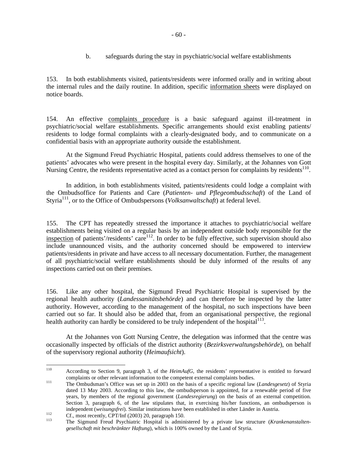b. safeguards during the stay in psychiatric/social welfare establishments

153. In both establishments visited, patients/residents were informed orally and in writing about the internal rules and the daily routine. In addition, specific information sheets were displayed on notice boards.

154. An effective complaints procedure is a basic safeguard against ill-treatment in psychiatric/social welfare establishments. Specific arrangements should exist enabling patients/ residents to lodge formal complaints with a clearly-designated body, and to communicate on a confidential basis with an appropriate authority outside the establishment.

 At the Sigmund Freud Psychiatric Hospital, patients could address themselves to one of the patients' advocates who were present in the hospital every day. Similarly, at the Johannes von Gott Nursing Centre, the residents representative acted as a contact person for complaints by residents<sup>110</sup>.

 In addition, in both establishments visited, patients/residents could lodge a complaint with the Ombudsoffice for Patients and Care (*Patienten- und Pflegeombudsschaft*) of the Land of Styria<sup>111</sup>, or to the Office of Ombudspersons (*Volksanwaltschaft*) at federal level.

155. The CPT has repeatedly stressed the importance it attaches to psychiatric/social welfare establishments being visited on a regular basis by an independent outside body responsible for the inspection of patients'/residents' care<sup>112</sup>. In order to be fully effective, such supervision should also include unannounced visits, and the authority concerned should be empowered to interview patients/residents in private and have access to all necessary documentation. Further, the management of all psychiatric/social welfare establishments should be duly informed of the results of any inspections carried out on their premises.

156. Like any other hospital, the Sigmund Freud Psychiatric Hospital is supervised by the regional health authority (*Landessanitätsbehörde*) and can therefore be inspected by the latter authority. However, according to the management of the hospital, no such inspections have been carried out so far. It should also be added that, from an organisational perspective, the regional health authority can hardly be considered to be truly independent of the hospital $113$ .

 At the Johannes von Gott Nursing Centre, the delegation was informed that the centre was occasionally inspected by officials of the district authority (*Bezirksverwaltungsbehörde*), on behalf of the supervisory regional authority (*Heimaufsicht*).

<sup>110</sup> According to Section 9, paragraph 3, of the *HeimAufG*, the residents' representative is entitled to forward complaints or other relevant information to the competent external complaints bodies.

<sup>111</sup> The Ombudsman's Office was set up in 2003 on the basis of a specific regional law (*Landesgesetz*) of Styria dated 13 May 2003. According to this law, the ombudsperson is appointed, for a renewable period of five years, by members of the regional government (*Landesregierung*) on the basis of an external competition. Section 3, paragraph 6, of the law stipulates that, in exercising his/her functions, an ombudsperson is independent (*weisungsfrei*). Similar institutions have been established in other Länder in Austria.

<sup>112</sup> Cf., most recently, CPT/Inf (2003) 20, paragraph 150.

The Sigmund Freud Psychiatric Hospital is administered by a private law structure (*Krankenanstaltengesellschaft mit beschränkter Haftung*), which is 100% owned by the Land of Styria.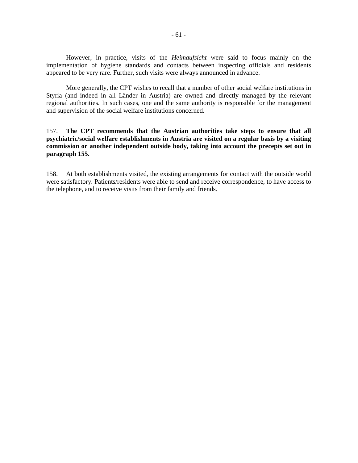However, in practice, visits of the *Heimaufsicht* were said to focus mainly on the implementation of hygiene standards and contacts between inspecting officials and residents appeared to be very rare. Further, such visits were always announced in advance.

 More generally, the CPT wishes to recall that a number of other social welfare institutions in Styria (and indeed in all Länder in Austria) are owned and directly managed by the relevant regional authorities. In such cases, one and the same authority is responsible for the management and supervision of the social welfare institutions concerned.

157. **The CPT recommends that the Austrian authorities take steps to ensure that all psychiatric/social welfare establishments in Austria are visited on a regular basis by a visiting commission or another independent outside body, taking into account the precepts set out in paragraph 155.**

158. At both establishments visited, the existing arrangements for contact with the outside world were satisfactory. Patients/residents were able to send and receive correspondence, to have access to the telephone, and to receive visits from their family and friends.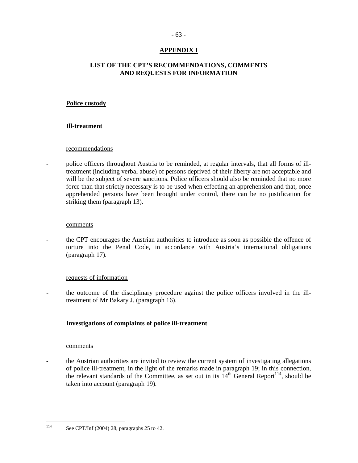# - 63 -

# **APPENDIX I**

# **LIST OF THE CPT'S RECOMMENDATIONS, COMMENTS AND REQUESTS FOR INFORMATION**

# **Police custody**

# **Ill-treatment**

# recommendations

- police officers throughout Austria to be reminded, at regular intervals, that all forms of ill treatment (including verbal abuse) of persons deprived of their liberty are not acceptable and will be the subject of severe sanctions. Police officers should also be reminded that no more force than that strictly necessary is to be used when effecting an apprehension and that, once apprehended persons have been brought under control, there can be no justification for striking them (paragraph 13).

## comments

- the CPT encourages the Austrian authorities to introduce as soon as possible the offence of torture into the Penal Code, in accordance with Austria's international obligations (paragraph 17).

# requests of information

the outcome of the disciplinary procedure against the police officers involved in the illtreatment of Mr Bakary J. (paragraph 16).

# **Investigations of complaints of police ill-treatment**

# comments

**-** the Austrian authorities are invited to review the current system of investigating allegations of police ill-treatment, in the light of the remarks made in paragraph 19; in this connection, the relevant standards of the Committee, as set out in its  $14<sup>th</sup>$  General Report<sup>114</sup>, should be taken into account (paragraph 19).

<sup>114</sup> See CPT/Inf  $(2004)$  28, paragraphs 25 to 42.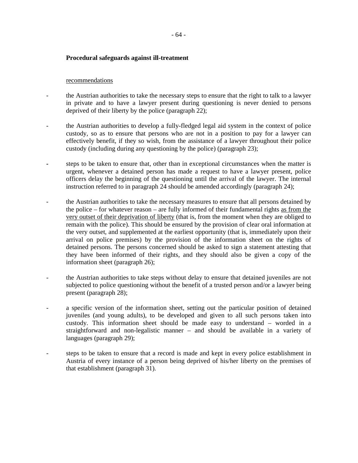## **Procedural safeguards against ill-treatment**

## recommendations

- the Austrian authorities to take the necessary steps to ensure that the right to talk to a lawyer in private and to have a lawyer present during questioning is never denied to persons deprived of their liberty by the police (paragraph 22);
- the Austrian authorities to develop a fully-fledged legal aid system in the context of police custody, so as to ensure that persons who are not in a position to pay for a lawyer can effectively benefit, if they so wish, from the assistance of a lawyer throughout their police custody (including during any questioning by the police) (paragraph 23);
- steps to be taken to ensure that, other than in exceptional circumstances when the matter is urgent, whenever a detained person has made a request to have a lawyer present, police officers delay the beginning of the questioning until the arrival of the lawyer. The internal instruction referred to in paragraph 24 should be amended accordingly (paragraph 24);
- the Austrian authorities to take the necessary measures to ensure that all persons detained by the police – for whatever reason – are fully informed of their fundamental rights as from the very outset of their deprivation of liberty (that is, from the moment when they are obliged to remain with the police). This should be ensured by the provision of clear oral information at the very outset, and supplemented at the earliest opportunity (that is, immediately upon their arrival on police premises) by the provision of the information sheet on the rights of detained persons. The persons concerned should be asked to sign a statement attesting that they have been informed of their rights, and they should also be given a copy of the information sheet (paragraph 26);
- the Austrian authorities to take steps without delay to ensure that detained juveniles are not subjected to police questioning without the benefit of a trusted person and/or a lawyer being present (paragraph 28);
- a specific version of the information sheet, setting out the particular position of detained juveniles (and young adults), to be developed and given to all such persons taken into custody. This information sheet should be made easy to understand – worded in a straightforward and non-legalistic manner – and should be available in a variety of languages (paragraph 29);
- steps to be taken to ensure that a record is made and kept in every police establishment in Austria of every instance of a person being deprived of his/her liberty on the premises of that establishment (paragraph 31).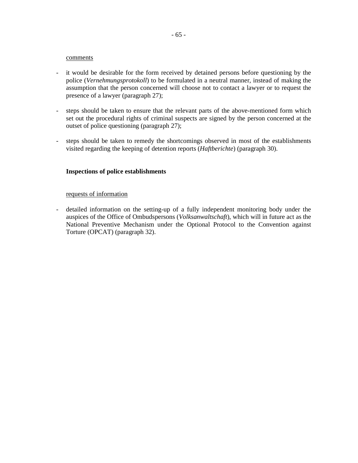## comments

- it would be desirable for the form received by detained persons before questioning by the police (*Vernehmungsprotokoll*) to be formulated in a neutral manner, instead of making the assumption that the person concerned will choose not to contact a lawyer or to request the presence of a lawyer (paragraph 27);
- steps should be taken to ensure that the relevant parts of the above-mentioned form which set out the procedural rights of criminal suspects are signed by the person concerned at the outset of police questioning (paragraph 27);
- steps should be taken to remedy the shortcomings observed in most of the establishments visited regarding the keeping of detention reports (*Haftberichte*) (paragraph 30).

## **Inspections of police establishments**

#### requests of information

- detailed information on the setting-up of a fully independent monitoring body under the auspices of the Office of Ombudspersons (*Volksanwaltschaft*), which will in future act as the National Preventive Mechanism under the Optional Protocol to the Convention against Torture (OPCAT) (paragraph 32).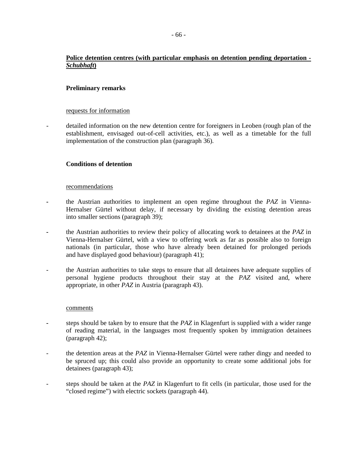# **Police detention centres (with particular emphasis on detention pending deportation -** *Schubhaft***)**

## **Preliminary remarks**

## requests for information

- detailed information on the new detention centre for foreigners in Leoben (rough plan of the establishment, envisaged out-of-cell activities, etc.), as well as a timetable for the full implementation of the construction plan (paragraph 36).

## **Conditions of detention**

## recommendations

- the Austrian authorities to implement an open regime throughout the *PAZ* in Vienna- Hernalser Gürtel without delay, if necessary by dividing the existing detention areas into smaller sections (paragraph 39);
- the Austrian authorities to review their policy of allocating work to detainees at the *PAZ* in Vienna-Hernalser Gürtel, with a view to offering work as far as possible also to foreign nationals (in particular, those who have already been detained for prolonged periods and have displayed good behaviour) (paragraph 41);
- the Austrian authorities to take steps to ensure that all detainees have adequate supplies of personal hygiene products throughout their stay at the *PAZ* visited and, where appropriate, in other *PAZ* in Austria (paragraph 43).

#### comments

- steps should be taken by to ensure that the *PAZ* in Klagenfurt is supplied with a wider range of reading material, in the languages most frequently spoken by immigration detainees (paragraph 42);
- the detention areas at the *PAZ* in Vienna-Hernalser Gürtel were rather dingy and needed to be spruced up; this could also provide an opportunity to create some additional jobs for detainees (paragraph 43);
- steps should be taken at the *PAZ* in Klagenfurt to fit cells (in particular, those used for the "closed regime") with electric sockets (paragraph 44).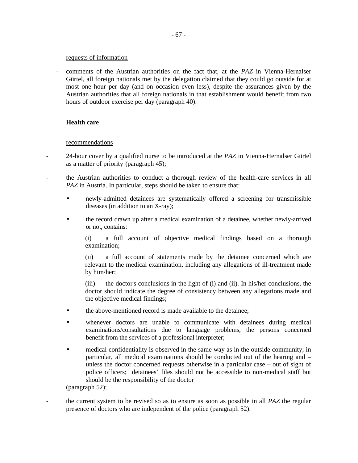#### requests of information

- comments of the Austrian authorities on the fact that, at the *PAZ* in Vienna-Hernalser Gürtel, all foreign nationals met by the delegation claimed that they could go outside for at most one hour per day (and on occasion even less), despite the assurances given by the Austrian authorities that all foreign nationals in that establishment would benefit from two hours of outdoor exercise per day (paragraph 40).

## **Health care**

## recommendations

- 24-hour cover by a qualified nurse to be introduced at the *PAZ* in Vienna-Hernalser Gürtel as a matter of priority (paragraph 45);
- the Austrian authorities to conduct a thorough review of the health-care services in all *PAZ* in Austria. In particular, steps should be taken to ensure that:
	- newly-admitted detainees are systematically offered a screening for transmissible diseases (in addition to an X-ray);
	- the record drawn up after a medical examination of a detainee, whether newly-arrived or not, contains:

 (i) a full account of objective medical findings based on a thorough examination;

 (ii) a full account of statements made by the detainee concerned which are relevant to the medical examination, including any allegations of ill-treatment made by him/her;

 (iii) the doctor's conclusions in the light of (i) and (ii). In his/her conclusions, the doctor should indicate the degree of consistency between any allegations made and the objective medical findings;

- the above-mentioned record is made available to the detainee;
- whenever doctors are unable to communicate with detainees during medical examinations/consultations due to language problems, the persons concerned benefit from the services of a professional interpreter;
- medical confidentiality is observed in the same way as in the outside community; in particular, all medical examinations should be conducted out of the hearing and – unless the doctor concerned requests otherwise in a particular case – out of sight of police officers; detainees' files should not be accessible to non-medical staff but should be the responsibility of the doctor

(paragraph 52);

- the current system to be revised so as to ensure as soon as possible in all *PAZ* the regular presence of doctors who are independent of the police (paragraph 52).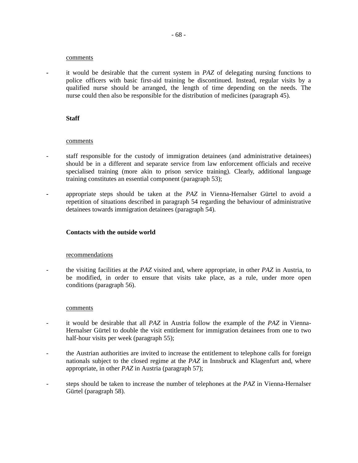#### comments

**-** it would be desirable that the current system in *PAZ* of delegating nursing functions to police officers with basic first-aid training be discontinued. Instead, regular visits by a qualified nurse should be arranged, the length of time depending on the needs. The nurse could then also be responsible for the distribution of medicines (paragraph 45).

#### **Staff**

#### comments

- staff responsible for the custody of immigration detainees (and administrative detainees) should be in a different and separate service from law enforcement officials and receive specialised training (more akin to prison service training). Clearly, additional language training constitutes an essential component (paragraph 53);
- appropriate steps should be taken at the *PAZ* in Vienna-Hernalser Gürtel to avoid a repetition of situations described in paragraph 54 regarding the behaviour of administrative detainees towards immigration detainees (paragraph 54).

## **Contacts with the outside world**

#### recommendations

- the visiting facilities at the *PAZ* visited and, where appropriate, in other *PAZ* in Austria, to be modified, in order to ensure that visits take place, as a rule, under more open conditions (paragraph 56).

#### comments

- it would be desirable that all *PAZ* in Austria follow the example of the *PAZ* in Vienna- Hernalser Gürtel to double the visit entitlement for immigration detainees from one to two half-hour visits per week (paragraph 55);
- the Austrian authorities are invited to increase the entitlement to telephone calls for foreign nationals subject to the closed regime at the *PAZ* in Innsbruck and Klagenfurt and, where appropriate, in other *PAZ* in Austria (paragraph 57);
- steps should be taken to increase the number of telephones at the *PAZ* in Vienna-Hernalser Gürtel (paragraph 58).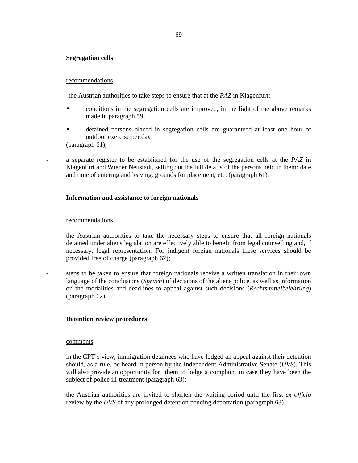## **Segregation cells**

## recommendations

- the Austrian authorities to take steps to ensure that at the *PAZ* in Klagenfurt:
	- conditions in the segregation cells are improved, in the light of the above remarks made in paragraph 59;
	- detained persons placed in segregation cells are guaranteed at least one hour of outdoor exercise per day

(paragraph 61);

- a separate register to be established for the use of the segregation cells at the *PAZ* in Klagenfurt and Wiener Neustadt, setting out the full details of the persons held in them: date and time of entering and leaving, grounds for placement, etc. (paragraph 61).

## **Information and assistance to foreign nationals**

## recommendations

- the Austrian authorities to take the necessary steps to ensure that all foreign nationals detained under aliens legislation are effectively able to benefit from legal counselling and, if necessary, legal representation. For indigent foreign nationals these services should be provided free of charge (paragraph 62);
- steps to be taken to ensure that foreign nationals receive a written translation in their own language of the conclusions (*Spruch*) of decisions of the aliens police, as well as information on the modalities and deadlines to appeal against such decisions (*Rechtsmittelbelehrung*) (paragraph 62).

# **Detention review procedures**

## comments

- in the CPT's view, immigration detainees who have lodged an appeal against their detention should, as a rule, be heard in person by the Independent Administrative Senate (*UVS*). This will also provide an opportunity for them to lodge a complaint in case they have been the subject of police ill-treatment (paragraph 63);
- the Austrian authorities are invited to shorten the waiting period until the first *ex officio* review by the *UVS* of any prolonged detention pending deportation (paragraph 63).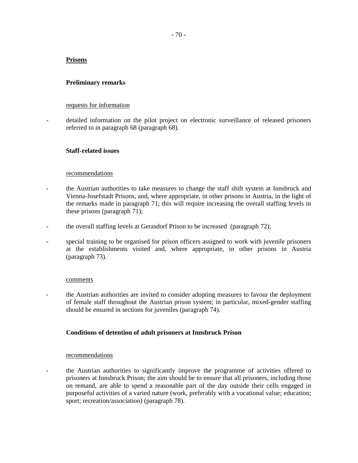# **Prisons**

# **Preliminary remarks**

## requests for information

- detailed information on the pilot project on electronic surveillance of released prisoners referred to in paragraph 68 (paragraph 68).

## **Staff-related issues**

## recommendations

- the Austrian authorities to take measures to change the staff shift system at Innsbruck and Vienna-Josefstadt Prisons, and, where appropriate, in other prisons in Austria, in the light of the remarks made in paragraph 71; this will require increasing the overall staffing levels in these prisons (paragraph 71);
- the overall staffing levels at Gerasdorf Prison to be increased (paragraph 72);
- special training to be organised for prison officers assigned to work with juvenile prisoners at the establishments visited and, where appropriate, in other prisons in Austria (paragraph 73).

## comments

- the Austrian authorities are invited to consider adopting measures to favour the deployment of female staff throughout the Austrian prison system; in particular, mixed-gender staffing should be ensured in sections for juveniles (paragraph 74).

# **Conditions of detention of adult prisoners at Innsbruck Prison**

## recommendations

- the Austrian authorities to significantly improve the programme of activities offered to prisoners at Innsbruck Prison; the aim should be to ensure that all prisoners, including those on remand, are able to spend a reasonable part of the day outside their cells engaged in purposeful activities of a varied nature (work, preferably with a vocational value; education; sport; recreation/association) (paragraph 78).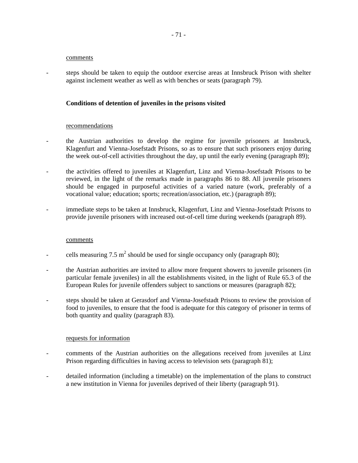#### comments

steps should be taken to equip the outdoor exercise areas at Innsbruck Prison with shelter against inclement weather as well as with benches or seats (paragraph 79).

## **Conditions of detention of juveniles in the prisons visited**

#### recommendations

- the Austrian authorities to develop the regime for juvenile prisoners at Innsbruck, Klagenfurt and Vienna-Josefstadt Prisons, so as to ensure that such prisoners enjoy during the week out-of-cell activities throughout the day, up until the early evening (paragraph 89);
- the activities offered to juveniles at Klagenfurt, Linz and Vienna-Josefstadt Prisons to be reviewed, in the light of the remarks made in paragraphs 86 to 88. All juvenile prisoners should be engaged in purposeful activities of a varied nature (work, preferably of a vocational value; education; sports; recreation/association, etc.) (paragraph 89);
- immediate steps to be taken at Innsbruck, Klagenfurt, Linz and Vienna-Josefstadt Prisons to provide juvenile prisoners with increased out-of-cell time during weekends (paragraph 89).

#### comments

- cells measuring 7.5  $m^2$  should be used for single occupancy only (paragraph 80);
- the Austrian authorities are invited to allow more frequent showers to juvenile prisoners (in particular female juveniles) in all the establishments visited, in the light of Rule 65.3 of the European Rules for juvenile offenders subject to sanctions or measures (paragraph 82);
- steps should be taken at Gerasdorf and Vienna-Josefstadt Prisons to review the provision of food to juveniles, to ensure that the food is adequate for this category of prisoner in terms of both quantity and quality (paragraph 83).

## requests for information

- comments of the Austrian authorities on the allegations received from juveniles at Linz Prison regarding difficulties in having access to television sets (paragraph 81);
- detailed information (including a timetable) on the implementation of the plans to construct a new institution in Vienna for juveniles deprived of their liberty (paragraph 91).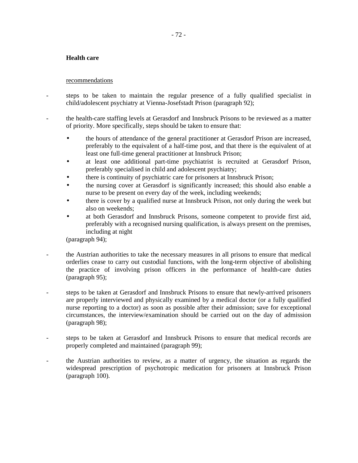# **Health care**

# recommendations

- steps to be taken to maintain the regular presence of a fully qualified specialist in child/adolescent psychiatry at Vienna-Josefstadt Prison (paragraph 92);
- the health-care staffing levels at Gerasdorf and Innsbruck Prisons to be reviewed as a matter of priority. More specifically, steps should be taken to ensure that:
	- the hours of attendance of the general practitioner at Gerasdorf Prison are increased, preferably to the equivalent of a half-time post, and that there is the equivalent of at least one full-time general practitioner at Innsbruck Prison;
	- at least one additional part-time psychiatrist is recruited at Gerasdorf Prison, preferably specialised in child and adolescent psychiatry;
	- there is continuity of psychiatric care for prisoners at Innsbruck Prison;
	- the nursing cover at Gerasdorf is significantly increased; this should also enable a nurse to be present on every day of the week, including weekends;
	- there is cover by a qualified nurse at Innsbruck Prison, not only during the week but also on weekends;
	- at both Gerasdorf and Innsbruck Prisons, someone competent to provide first aid, preferably with a recognised nursing qualification, is always present on the premises, including at night

(paragraph 94);

- the Austrian authorities to take the necessary measures in all prisons to ensure that medical orderlies cease to carry out custodial functions, with the long-term objective of abolishing the practice of involving prison officers in the performance of health-care duties (paragraph 95);
- steps to be taken at Gerasdorf and Innsbruck Prisons to ensure that newly-arrived prisoners are properly interviewed and physically examined by a medical doctor (or a fully qualified nurse reporting to a doctor) as soon as possible after their admission; save for exceptional circumstances, the interview/examination should be carried out on the day of admission (paragraph 98);
- steps to be taken at Gerasdorf and Innsbruck Prisons to ensure that medical records are properly completed and maintained (paragraph 99);
- the Austrian authorities to review, as a matter of urgency, the situation as regards the widespread prescription of psychotropic medication for prisoners at Innsbruck Prison (paragraph 100).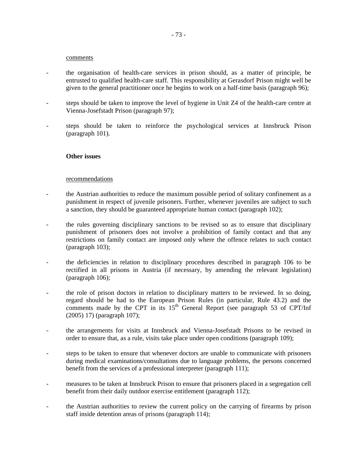#### comments

- the organisation of health-care services in prison should, as a matter of principle, be entrusted to qualified health-care staff. This responsibility at Gerasdorf Prison might well be given to the general practitioner once he begins to work on a half-time basis (paragraph 96);
- steps should be taken to improve the level of hygiene in Unit Z4 of the health-care centre at Vienna-Josefstadt Prison (paragraph 97);
- steps should be taken to reinforce the psychological services at Innsbruck Prison (paragraph 101).

#### **Other issues**

#### recommendations

- the Austrian authorities to reduce the maximum possible period of solitary confinement as a punishment in respect of juvenile prisoners. Further, whenever juveniles are subject to such a sanction, they should be guaranteed appropriate human contact (paragraph 102);
- the rules governing disciplinary sanctions to be revised so as to ensure that disciplinary punishment of prisoners does not involve a prohibition of family contact and that any restrictions on family contact are imposed only where the offence relates to such contact (paragraph 103);
- the deficiencies in relation to disciplinary procedures described in paragraph 106 to be rectified in all prisons in Austria (if necessary, by amending the relevant legislation) (paragraph 106);
- the role of prison doctors in relation to disciplinary matters to be reviewed. In so doing, regard should be had to the European Prison Rules (in particular, Rule 43.2) and the comments made by the CPT in its 15<sup>th</sup> General Report (see paragraph 53 of CPT/Inf (2005) 17) (paragraph 107);
- the arrangements for visits at Innsbruck and Vienna-Josefstadt Prisons to be revised in order to ensure that, as a rule, visits take place under open conditions (paragraph 109);
- steps to be taken to ensure that whenever doctors are unable to communicate with prisoners during medical examinations/consultations due to language problems, the persons concerned benefit from the services of a professional interpreter (paragraph 111);
- measures to be taken at Innsbruck Prison to ensure that prisoners placed in a segregation cell benefit from their daily outdoor exercise entitlement (paragraph 112);
- the Austrian authorities to review the current policy on the carrying of firearms by prison staff inside detention areas of prisons (paragraph 114);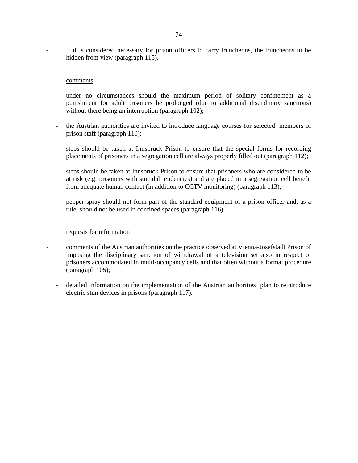- if it is considered necessary for prison officers to carry truncheons, the truncheons to be hidden from view (paragraph 115).

#### comments

- under no circumstances should the maximum period of solitary confinement as a punishment for adult prisoners be prolonged (due to additional disciplinary sanctions) without there being an interruption (paragraph 102);
- the Austrian authorities are invited to introduce language courses for selected members of prison staff (paragraph 110);
- steps should be taken at Innsbruck Prison to ensure that the special forms for recording placements of prisoners in a segregation cell are always properly filled out (paragraph 112);
- steps should be taken at Innsbruck Prison to ensure that prisoners who are considered to be at risk (e.g. prisoners with suicidal tendencies) and are placed in a segregation cell benefit from adequate human contact (in addition to CCTV monitoring) (paragraph 113);
	- pepper spray should not form part of the standard equipment of a prison officer and, as a rule, should not be used in confined spaces (paragraph 116).

#### requests for information

- comments of the Austrian authorities on the practice observed at Vienna-Josefstadt Prison of imposing the disciplinary sanction of withdrawal of a television set also in respect of prisoners accommodated in multi-occupancy cells and that often without a formal procedure (paragraph 105);
	- detailed information on the implementation of the Austrian authorities' plan to reintroduce electric stun devices in prisons (paragraph 117).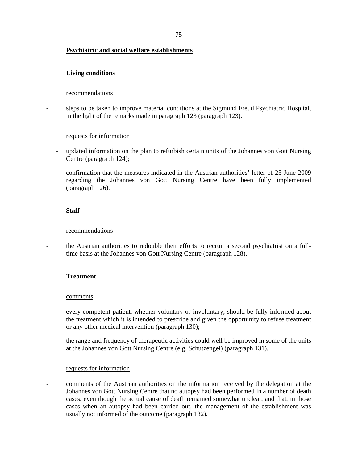## **Psychiatric and social welfare establishments**

## **Living conditions**

#### recommendations

steps to be taken to improve material conditions at the Sigmund Freud Psychiatric Hospital, in the light of the remarks made in paragraph 123 (paragraph 123).

### requests for information

- updated information on the plan to refurbish certain units of the Johannes von Gott Nursing Centre (paragraph 124);
- confirmation that the measures indicated in the Austrian authorities' letter of 23 June 2009 regarding the Johannes von Gott Nursing Centre have been fully implemented (paragraph 126).

### **Staff**

#### recommendations

- the Austrian authorities to redouble their efforts to recruit a second psychiatrist on a full time basis at the Johannes von Gott Nursing Centre (paragraph 128).

## **Treatment**

#### comments

- every competent patient, whether voluntary or involuntary, should be fully informed about the treatment which it is intended to prescribe and given the opportunity to refuse treatment or any other medical intervention (paragraph 130);
- the range and frequency of therapeutic activities could well be improved in some of the units at the Johannes von Gott Nursing Centre (e.g. Schutzengel) (paragraph 131).

#### requests for information

- comments of the Austrian authorities on the information received by the delegation at the Johannes von Gott Nursing Centre that no autopsy had been performed in a number of death cases, even though the actual cause of death remained somewhat unclear, and that, in those cases when an autopsy had been carried out, the management of the establishment was usually not informed of the outcome (paragraph 132).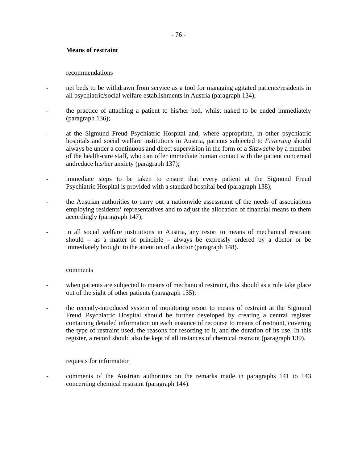### **Means of restraint**

#### recommendations

- net beds to be withdrawn from service as a tool for managing agitated patients/residents in all psychiatric/social welfare establishments in Austria (paragraph 134);
- the practice of attaching a patient to his/her bed, whilst naked to be ended immediately (paragraph 136);
- at the Sigmund Freud Psychiatric Hospital and, where appropriate, in other psychiatric hospitals and social welfare institutions in Austria, patients subjected to *Fixierung* should always be under a continuous and direct supervision in the form of a *Sitzwache* by a member of the health-care staff, who can offer immediate human contact with the patient concerned andreduce his/her anxiety (paragraph 137);
- immediate steps to be taken to ensure that every patient at the Sigmund Freud Psychiatric Hospital is provided with a standard hospital bed (paragraph 138);
- the Austrian authorities to carry out a nationwide assessment of the needs of associations employing residents' representatives and to adjust the allocation of financial means to them accordingly (paragraph 147);
- in all social welfare institutions in Austria, any resort to means of mechanical restraint should – as a matter of principle – always be expressly ordered by a doctor or be immediately brought to the attention of a doctor (paragraph 148).

#### comments

- when patients are subjected to means of mechanical restraint, this should as a rule take place out of the sight of other patients (paragraph 135);
- the recently-introduced system of monitoring resort to means of restraint at the Sigmund Freud Psychiatric Hospital should be further developed by creating a central register containing detailed information on each instance of recourse to means of restraint, covering the type of restraint used, the reasons for resorting to it, and the duration of its use. In this register, a record should also be kept of all instances of chemical restraint (paragraph 139).

#### requests for information

- comments of the Austrian authorities on the remarks made in paragraphs 141 to 143 concerning chemical restraint (paragraph 144).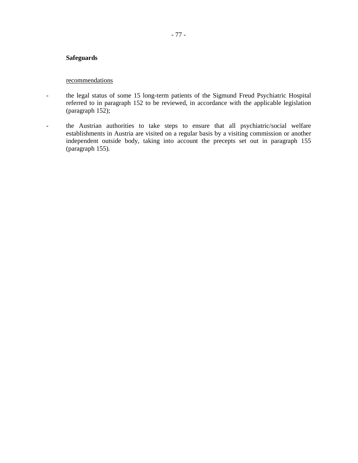## **Safeguards**

#### recommendations

- the legal status of some 15 long-term patients of the Sigmund Freud Psychiatric Hospital referred to in paragraph 152 to be reviewed, in accordance with the applicable legislation (paragraph  $152$ );
- the Austrian authorities to take steps to ensure that all psychiatric/social welfare establishments in Austria are visited on a regular basis by a visiting commission or another independent outside body, taking into account the precepts set out in paragraph 155 (paragraph 155).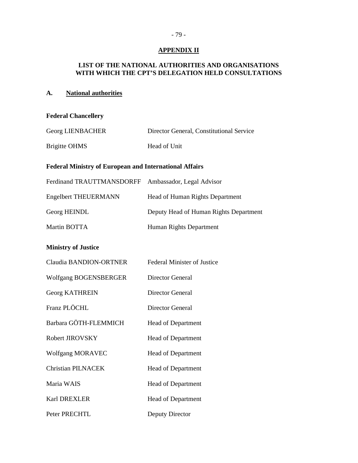# **APPENDIX II**

## **LIST OF THE NATIONAL AUTHORITIES AND ORGANISATIONS WITH WHICH THE CPT'S DELEGATION HELD CONSULTATIONS**

## **A. National authorities**

## **Federal Chancellery**

| <b>Georg LIENBACHER</b> | Director General, Constitutional Service |
|-------------------------|------------------------------------------|
| Brigitte OHMS           | Head of Unit                             |

## **Federal Ministry of European and International Affairs**

| Ferdinand TRAUTTMANSDORFF | Ambassador, Legal Advisor              |
|---------------------------|----------------------------------------|
| Engelbert THEUERMANN      | Head of Human Rights Department        |
| Georg HEINDL              | Deputy Head of Human Rights Department |
| Martin BOTTA              | Human Rights Department                |

## **Ministry of Justice**

| Claudia BANDION-ORTNER       | <b>Federal Minister of Justice</b> |
|------------------------------|------------------------------------|
| <b>Wolfgang BOGENSBERGER</b> | Director General                   |
| Georg KATHREIN               | Director General                   |
| Franz PLÖCHL                 | Director General                   |
| Barbara GÖTH-FLEMMICH        | <b>Head of Department</b>          |
| Robert JIROVSKY              | <b>Head of Department</b>          |
| <b>Wolfgang MORAVEC</b>      | <b>Head of Department</b>          |
| <b>Christian PILNACEK</b>    | Head of Department                 |
| Maria WAIS                   | <b>Head of Department</b>          |
| <b>Karl DREXLER</b>          | <b>Head of Department</b>          |
| Peter PRECHTL                | Deputy Director                    |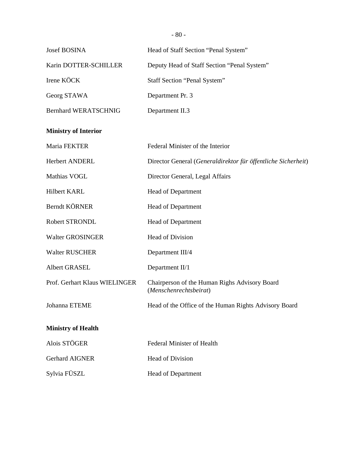| <b>Josef BOSINA</b>           | Head of Staff Section "Penal System"                                    |
|-------------------------------|-------------------------------------------------------------------------|
| Karin DOTTER-SCHILLER         | Deputy Head of Staff Section "Penal System"                             |
| Irene KÖCK                    | Staff Section "Penal System"                                            |
| Georg STAWA                   | Department Pr. 3                                                        |
| <b>Bernhard WERATSCHNIG</b>   | Department II.3                                                         |
| <b>Ministry of Interior</b>   |                                                                         |
| Maria FEKTER                  | Federal Minister of the Interior                                        |
| <b>Herbert ANDERL</b>         | Director General (Generaldirektor für öffentliche Sicherheit)           |
| Mathias VOGL                  | Director General, Legal Affairs                                         |
| <b>Hilbert KARL</b>           | <b>Head of Department</b>                                               |
| Berndt KÖRNER                 | <b>Head of Department</b>                                               |
| Robert STRONDL                | <b>Head of Department</b>                                               |
| <b>Walter GROSINGER</b>       | Head of Division                                                        |
| <b>Walter RUSCHER</b>         | Department III/4                                                        |
| Albert GRASEL                 | Department II/1                                                         |
| Prof. Gerhart Klaus WIELINGER | Chairperson of the Human Righs Advisory Board<br>(Menschenrechtsbeirat) |
| Johanna ETEME                 | Head of the Office of the Human Rights Advisory Board                   |
| <b>Ministry of Health</b>     |                                                                         |
| Alois STÖGER                  | <b>Federal Minister of Health</b>                                       |
| <b>Gerhard AIGNER</b>         | <b>Head of Division</b>                                                 |
| Sylvia FÜSZL                  | <b>Head of Department</b>                                               |